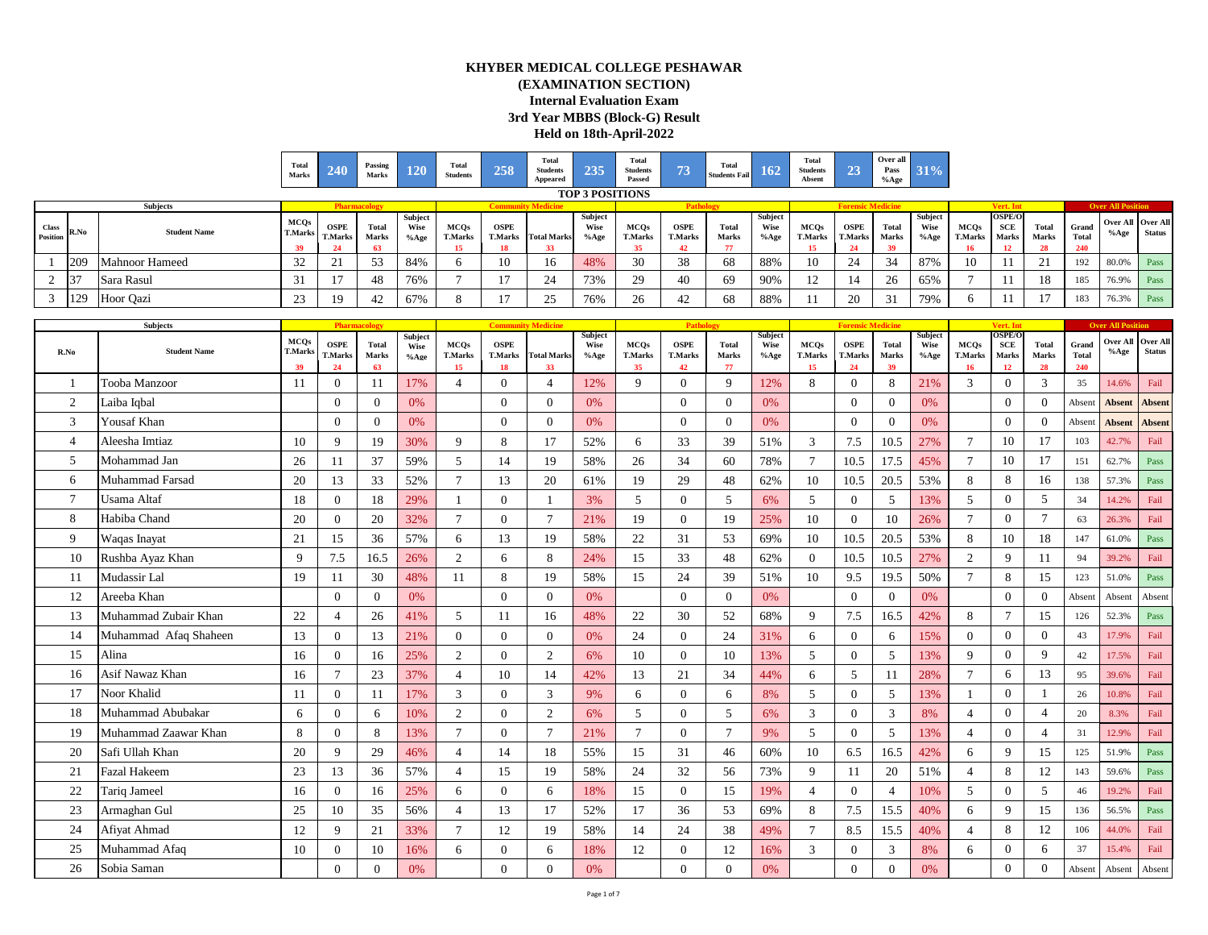## **KHYBER MEDICAL COLLEGE PESHAWAR (EXAMINATION SECTION) Internal Evaluation Exam 3rd Year MBBS (Block-G) Result Held on 18th-April-2022**

| Total<br>Marks |                                                                  |     | Tota<br><b>Students</b> | Total<br><b>Students</b><br>Appeared  |                           | Total<br><b>Students</b><br>Passed |                                                     | Total                                                                                                                 |                                                         |               |                                                          |     |                                                            |  |                                 |                          |
|----------------|------------------------------------------------------------------|-----|-------------------------|---------------------------------------|---------------------------|------------------------------------|-----------------------------------------------------|-----------------------------------------------------------------------------------------------------------------------|---------------------------------------------------------|---------------|----------------------------------------------------------|-----|------------------------------------------------------------|--|---------------------------------|--------------------------|
|                |                                                                  |     |                         |                                       |                           |                                    |                                                     |                                                                                                                       |                                                         |               |                                                          |     |                                                            |  |                                 |                          |
| <b>T.Marks</b> | $\begin{array}{c} \textbf{OSPE} \\ \textbf{T.Marks} \end{array}$ |     |                         |                                       |                           |                                    | OSPE<br>T.Marks                                     | Total<br><b>Marks</b>                                                                                                 | %Age T.Marks                                            |               |                                                          |     |                                                            |  |                                 |                          |
|                |                                                                  |     |                         |                                       |                           |                                    |                                                     |                                                                                                                       |                                                         |               |                                                          |     |                                                            |  |                                 |                          |
|                |                                                                  | 84% |                         |                                       |                           |                                    |                                                     |                                                                                                                       |                                                         | $\sim$        |                                                          |     |                                                            |  | 192<br>$\degree$ 1 80.0% $\Box$ |                          |
|                |                                                                  |     |                         |                                       |                           |                                    |                                                     |                                                                                                                       |                                                         | $\sim$<br>-14 |                                                          | 65% |                                                            |  | 185<br>$-8$ 1 76.9% Pass        |                          |
|                |                                                                  |     | Passing<br>Marks        | Total Wise MCQs<br>Marks %Age T.Marks | <b>Community Medicine</b> | OSPE<br>T.Marks Total Marks        | <b>TOP 3 POSITIONS</b><br>Wise MCQs<br>%Age T.Marks | (EXAMINATION SECTION)<br><b>Internal Evaluation Exam</b><br>3rd Year MBBS (Block-G) Result<br>Held on 18th-April-2022 | <b>KHYBER MEDICAL COLLEGE PESHAWAR</b><br>Students Fail |               | <b>Total</b><br><b>Students</b><br>Absent<br><b>MCOs</b> |     | Over all  <br>Pass 31<br>% Age<br><b>Forensic Medicine</b> |  | Vert. Int                       | <b>Over All Position</b> |

|                          | <b>Subjects</b>        |                             |                                     | Pharmacology                |                         |                                     |                                     | <b>Community Medicine</b> |                            |                                     | Pathole                             |                             |                                |                                     | <b>Forensic Medicin</b>             |                             |                            |                                     | Vert. In                            |                             | Ov                           | <b>r All Position</b>   |                                  |
|--------------------------|------------------------|-----------------------------|-------------------------------------|-----------------------------|-------------------------|-------------------------------------|-------------------------------------|---------------------------|----------------------------|-------------------------------------|-------------------------------------|-----------------------------|--------------------------------|-------------------------------------|-------------------------------------|-----------------------------|----------------------------|-------------------------------------|-------------------------------------|-----------------------------|------------------------------|-------------------------|----------------------------------|
| R.No                     | <b>Student Name</b>    | <b>MCQs</b><br>T.Mark<br>39 | <b>OSPE</b><br><b>T.Marks</b><br>24 | <b>Total</b><br>Marks<br>63 | Subject<br>Wise<br>%Age | <b>MCOs</b><br><b>T.Marks</b><br>15 | <b>OSPE</b><br><b>T.Marks</b><br>18 | <b>Total Marks</b><br>33  | Subject<br>Wise<br>$%$ Age | <b>MCOs</b><br><b>T.Marks</b><br>35 | <b>OSPE</b><br><b>T.Marks</b><br>42 | <b>Total</b><br>Marks<br>77 | Subject<br><b>Wise</b><br>%Age | <b>MCQs</b><br><b>T.Marks</b><br>15 | <b>OSPE</b><br><b>T.Marks</b><br>24 | <b>Total</b><br>Marks<br>39 | Subject<br>Wise<br>$%$ Age | <b>MCQs</b><br><b>T.Marks</b><br>16 | <b>OSPE/O</b><br>SCE<br>Marks<br>12 | <b>Total</b><br>Marks<br>28 | Grand<br><b>Total</b><br>240 | <b>Over All</b><br>%Age | <b>Over All</b><br><b>Status</b> |
| $\overline{\phantom{0}}$ | <b>Tooba Manzoor</b>   | 11                          | $\overline{0}$                      | 11                          | 17%                     | $\overline{4}$                      | $\overline{0}$                      | $\overline{4}$            | 12%                        | 9                                   | $\overline{0}$                      | 9                           | 12%                            | 8                                   | $\overline{0}$                      | 8                           | 21%                        | 3                                   | $\overline{0}$                      | 3                           | 35                           | 14.6%                   | Fail                             |
| $\overline{2}$           | Laiba Iqbal            |                             | $\mathbf{0}$                        | $\Omega$                    | 0%                      |                                     | $\overline{0}$                      | $\overline{0}$            | 0%                         |                                     | $\Omega$                            | $\Omega$                    | 0%                             |                                     | $\overline{0}$                      | $\theta$                    | 0%                         |                                     | $\mathbf{0}$                        | $\mathbf{0}$                | Absent                       | <b>Absent</b>           | <b>Absent</b>                    |
| 3                        | Yousaf Khan            |                             | $\Omega$                            | $\Omega$                    | 0%                      |                                     | $\Omega$                            | $\Omega$                  | 0%                         |                                     | $\theta$                            | $\Omega$                    | 0%                             |                                     | $\theta$                            | $\theta$                    | 0%                         |                                     | $\overline{0}$                      | $\theta$                    | Absent                       | <b>Absent</b>           | <b>Absent</b>                    |
| $\overline{4}$           | Aleesha Imtiaz         | 10                          | 9                                   | 19                          | 30%                     | 9                                   | 8                                   | 17                        | 52%                        | 6                                   | 33                                  | 39                          | 51%                            | $\mathfrak{Z}$                      | 7.5                                 | 10.5                        | 27%                        | $\overline{7}$                      | 10                                  | 17                          | 103                          | 42.7%                   | Fail                             |
| .5                       | Mohammad Jan           | 26                          | 11                                  | 37                          | 59%                     | 5                                   | 14                                  | 19                        | 58%                        | 26                                  | 34                                  | 60                          | 78%                            | $\overline{7}$                      | 10.5                                | 17.5                        | 45%                        | $\tau$                              | 10                                  | 17                          | 151                          | 62.7%                   | Pass                             |
| -6                       | <b>Muhammad Farsad</b> | 20                          | 13                                  | 33                          | 52%                     | $\tau$                              | 13                                  | 20                        | 61%                        | 19                                  | 29                                  | 48                          | 62%                            | 10                                  | 10.5                                | 20.5                        | 53%                        | 8                                   | 8                                   | 16                          | 138                          | 57.3%                   | Pass                             |
| $\overline{7}$           | Usama Altaf            | 18                          | $\overline{0}$                      | 18                          | 29%                     |                                     | $\overline{0}$                      |                           | 3%                         | 5                                   | $\overline{0}$                      | 5                           | 6%                             | 5                                   | $\overline{0}$                      | 5                           | 13%                        | 5                                   | $\mathbf{0}$                        | 5                           | 34                           | 14.2%                   | Fail                             |
| 8                        | Habiba Chand           | 20                          | $\overline{0}$                      | 20                          | 32%                     | $\tau$                              | $\Omega$                            | $\tau$                    | 21%                        | 19                                  | $\Omega$                            | 19                          | 25%                            | 10                                  | $\Omega$                            | 10                          | 26%                        | $\overline{7}$                      | $\overline{0}$                      | $7\phantom{.0}$             | 63                           | 26.3%                   | Fail                             |
| 9                        | Waqas Inayat           | 21                          | 15                                  | 36                          | 57%                     | 6                                   | 13                                  | 19                        | 58%                        | 22                                  | 31                                  | 53                          | 69%                            | 10                                  | 10.5                                | 20.5                        | 53%                        | 8                                   | 10                                  | 18                          | 147                          | 61.0%                   | Pass                             |
| 10                       | Rushba Ayaz Khan       | 9                           | 7.5                                 | 16.5                        | 26%                     | 2                                   | 6                                   | 8                         | 24%                        | 15                                  | 33                                  | 48                          | 62%                            | $\Omega$                            | 10.5                                | 10.5                        | 27%                        | $\overline{c}$                      | 9                                   | 11                          | 94                           | 39.2%                   | Fail                             |
| 11                       | Mudassir Lal           | 19                          | 11                                  | 30                          | 48%                     | 11                                  | 8                                   | 19                        | 58%                        | 15                                  | 24                                  | 39                          | 51%                            | 10                                  | 9.5                                 | 19.5                        | 50%                        | $\overline{7}$                      | 8                                   | 15                          | 123                          | 51.0%                   | Pass                             |
| 12                       | Areeba Khan            |                             | $\overline{0}$                      | $\Omega$                    | 0%                      |                                     | $\Omega$                            | $\overline{0}$            | 0%                         |                                     | $\theta$                            | $\Omega$                    | 0%                             |                                     | $\theta$                            | $\theta$                    | 0%                         |                                     | $\overline{0}$                      | $\mathbf{0}$                | Absent                       | Absent                  | Absent                           |
| 13                       | Muhammad Zubair Khan   | 22                          | $\overline{4}$                      | 26                          | 41%                     | 5                                   | 11                                  | 16                        | 48%                        | 22                                  | 30                                  | 52                          | 68%                            | 9                                   | 7.5                                 | 16.5                        | 42%                        | 8                                   | $\tau$                              | 15                          | 126                          | 52.3%                   | Pass                             |
| 14                       | Muhammad Afaq Shaheen  | 13                          | $\overline{0}$                      | 13                          | 21%                     | $\overline{0}$                      | $\overline{0}$                      | $\overline{0}$            | 0%                         | 24                                  | $\overline{0}$                      | 24                          | 31%                            | 6                                   | $\overline{0}$                      | 6                           | 15%                        | $\mathbf{0}$                        | $\mathbf{0}$                        | $\mathbf{0}$                | 43                           | 17.9%                   | Fail                             |
| 15                       | Alina                  | 16                          | $\Omega$                            | 16                          | 25%                     | $\overline{2}$                      | $\Omega$                            | 2                         | 6%                         | 10                                  | $\theta$                            | 10                          | 13%                            | $\overline{5}$                      | $\theta$                            | $\overline{5}$              | 13%                        | 9                                   | $\overline{0}$                      | 9                           | 42                           | 17.5%                   | Fail                             |
| 16                       | Asif Nawaz Khan        | 16                          | $\tau$                              | 23                          | 37%                     | $\overline{4}$                      | 10                                  | 14                        | 42%                        | 13                                  | 21                                  | 34                          | 44%                            | 6                                   | 5                                   | 11                          | 28%                        | $\overline{7}$                      | 6                                   | 13                          | 95                           | 39.6%                   | Fail                             |
| 17                       | Noor Khalid            | 11                          | $\mathbf{0}$                        | 11                          | 17%                     | $\mathbf{3}$                        | $\overline{0}$                      | 3                         | 9%                         | 6                                   | $\mathbf{0}$                        | 6                           | 8%                             | 5                                   | $\theta$                            | 5                           | 13%                        |                                     | $\mathbf{0}$                        |                             | 26                           | 10.8%                   | Fail                             |
| 18                       | Muhammad Abubakar      | 6                           | $\mathbf{0}$                        | 6                           | 10%                     | $\overline{2}$                      | $\overline{0}$                      | $\overline{2}$            | 6%                         | 5                                   | $\Omega$                            | 5                           | 6%                             | 3                                   | $\overline{0}$                      | 3                           | 8%                         | $\overline{4}$                      | $\overline{0}$                      | $\Delta$                    | 20                           | 8.3%                    | Fail                             |
| 19                       | Muhammad Zaawar Khan   | 8                           | $\mathbf{0}$                        | 8                           | 13%                     | $\tau$                              | $\overline{0}$                      | $\tau$                    | 21%                        | $7\phantom{.0}$                     | $\mathbf{0}$                        | $\overline{7}$              | 9%                             | $5\overline{)}$                     | $\overline{0}$                      | 5                           | 13%                        | $\overline{4}$                      | $\mathbf{0}$                        | $\overline{4}$              | 31                           | 12.9%                   | Fail                             |
| 20                       | Safi Ullah Khan        | 20                          | 9                                   | 29                          | 46%                     | $\overline{\mathcal{L}}$            | 14                                  | 18                        | 55%                        | 15                                  | 31                                  | 46                          | 60%                            | 10                                  | 6.5                                 | 16.5                        | 42%                        | 6                                   | 9                                   | 15                          | 125                          | 51.9%                   | Pass                             |
| 21                       | Fazal Hakeem           | 23                          | 13                                  | 36                          | 57%                     | $\overline{4}$                      | 15                                  | 19                        | 58%                        | 24                                  | 32                                  | 56                          | 73%                            | 9                                   | 11                                  | 20                          | 51%                        | $\overline{4}$                      | 8                                   | 12                          | 143                          | 59.6%                   | Pass                             |
| 22                       | <b>Tariq Jameel</b>    | 16                          | $\overline{0}$                      | 16                          | 25%                     | 6                                   | $\Omega$                            | 6                         | 18%                        | 15                                  | $\theta$                            | 15                          | 19%                            | $\overline{4}$                      | $\overline{0}$                      | $\overline{4}$              | 10%                        | 5                                   | $\overline{0}$                      | 5                           | 46                           | 19.2%                   | Fail                             |
| 23                       | Armaghan Gul           | 25                          | 10                                  | 35                          | 56%                     | $\overline{4}$                      | 13                                  | 17                        | 52%                        | 17                                  | 36                                  | 53                          | 69%                            | 8                                   | 7.5                                 | 15.5                        | 40%                        | 6                                   | 9                                   | 15                          | 136                          | 56.5%                   | Pass                             |
| 24                       | Afiyat Ahmad           | 12                          | 9                                   | 21                          | 33%                     | $\tau$                              | 12                                  | 19                        | 58%                        | 14                                  | 24                                  | 38                          | 49%                            | $\tau$                              | 8.5                                 | 15.5                        | 40%                        | $\overline{4}$                      | 8                                   | 12                          | 106                          | 44.0%                   | Fail                             |
| 25                       | Muhammad Afaq          | 10                          | $\overline{0}$                      | 10                          | 16%                     | 6                                   | $\overline{0}$                      | 6                         | 18%                        | 12                                  | $\mathbf{0}$                        | 12                          | 16%                            | $\mathbf{3}$                        | $\overline{0}$                      | 3                           | 8%                         | 6                                   | $\overline{0}$                      | 6                           | 37                           | 15.4%                   | Fail                             |
| 26                       | Sobia Saman            |                             | $\mathbf{0}$                        | $\Omega$                    | 0%                      |                                     | $\Omega$                            | $\Omega$                  | 0%                         |                                     | $\Omega$                            | $\Omega$                    | 0%                             |                                     | $\theta$                            | $\Omega$                    | 0%                         |                                     | $\overline{0}$                      | $\Omega$                    | Absent                       | Absent                  | Absent                           |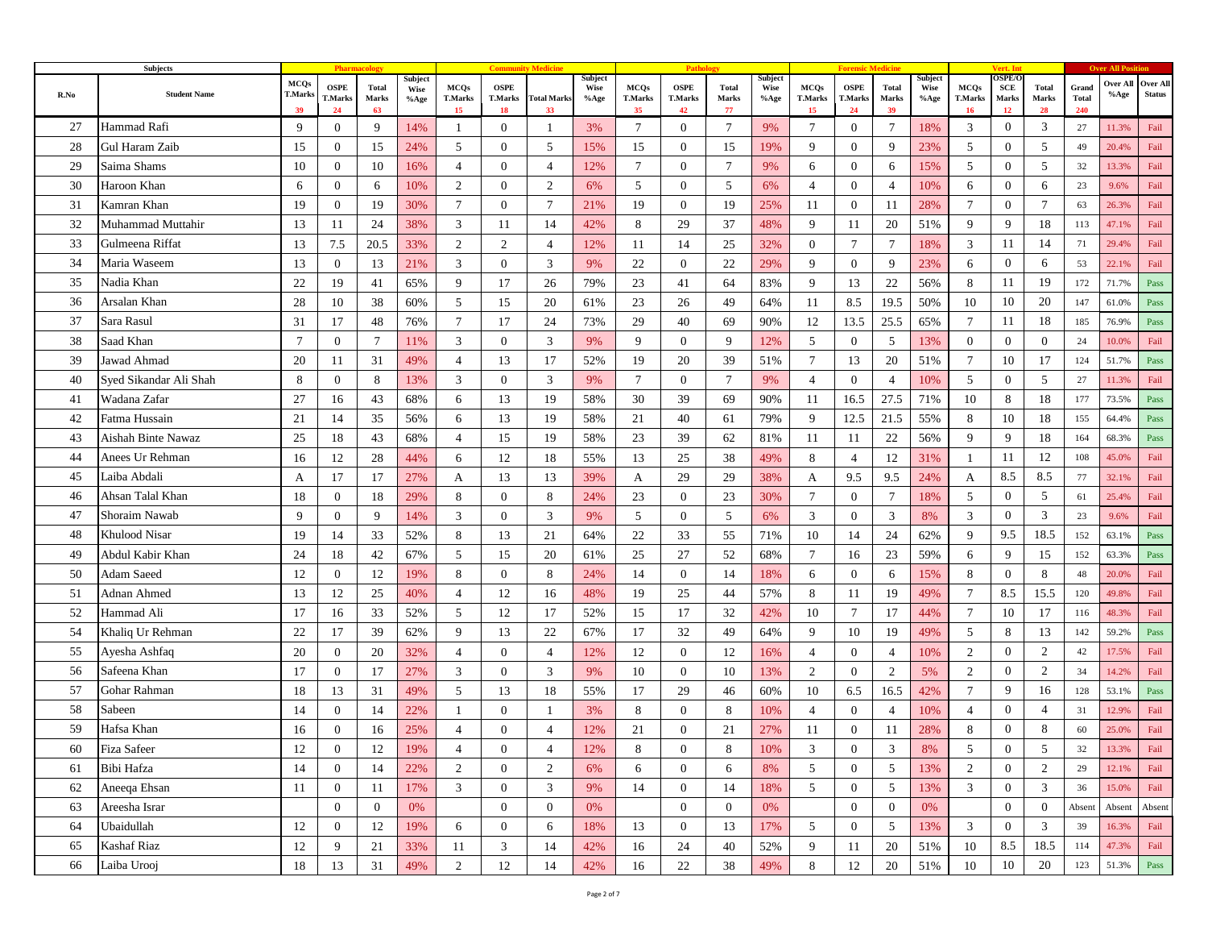|      | Subjects               |                                     |                              |                             |                         |                                     |                                     |                          |                                |                                     | Patho                               |                             |                         |                                     |                                     |                             |                                |                                     | Vert. In                            |                      |                              |                      |                           |
|------|------------------------|-------------------------------------|------------------------------|-----------------------------|-------------------------|-------------------------------------|-------------------------------------|--------------------------|--------------------------------|-------------------------------------|-------------------------------------|-----------------------------|-------------------------|-------------------------------------|-------------------------------------|-----------------------------|--------------------------------|-------------------------------------|-------------------------------------|----------------------|------------------------------|----------------------|---------------------------|
| R.No | <b>Student Name</b>    | <b>MCQs</b><br><b>T.Marks</b><br>39 | <b>OSPE</b><br>T.Marks<br>24 | <b>Total</b><br>Marks<br>63 | Subject<br>Wise<br>%Age | <b>MCQs</b><br><b>T.Marks</b><br>15 | <b>OSPE</b><br><b>T.Marks</b><br>18 | <b>Total Marks</b><br>33 | Subject<br><b>Wise</b><br>%Age | <b>MCQs</b><br><b>T.Marks</b><br>35 | <b>OSPE</b><br><b>T.Marks</b><br>42 | <b>Total</b><br>Marks<br>77 | Subject<br>Wise<br>%Age | <b>MCQs</b><br><b>T.Marks</b><br>15 | <b>OSPE</b><br><b>T.Marks</b><br>24 | <b>Total</b><br>Marks<br>39 | Subject<br><b>Wise</b><br>%Age | <b>MCQs</b><br><b>T.Marks</b><br>16 | <b>DSPE/C</b><br>SCE<br>Marks<br>12 | Total<br>Marks<br>28 | Grand<br><b>Total</b><br>240 | Over All<br>$\%$ Age | Over All<br><b>Status</b> |
| 27   | Hammad Rafi            | 9                                   | $\overline{0}$               | 9                           | 14%                     | 1                                   | $\overline{0}$                      | -1                       | 3%                             | 7                                   | $\bf{0}$                            | 7                           | 9%                      | 7                                   | $\mathbf{0}$                        | $\tau$                      | 18%                            | 3                                   | $\overline{0}$                      | 3                    | 27                           | 11.3%                | Fail                      |
| 28   | <b>Gul Haram Zaib</b>  | 15                                  | $\overline{0}$               | 15                          | 24%                     | 5                                   | $\overline{0}$                      | 5                        | 15%                            | 15                                  | $\theta$                            | 15                          | 19%                     | 9                                   | $\overline{0}$                      | 9                           | 23%                            | 5                                   | $\mathbf{0}$                        | 5                    | 49                           | 20.4%                | Fail                      |
| 29   | Saima Shams            | 10                                  | $\overline{0}$               | 10                          | 16%                     | $\overline{4}$                      | $\overline{0}$                      | $\overline{4}$           | 12%                            | $\tau$                              | $\boldsymbol{0}$                    | $7\phantom{.0}$             | 9%                      | 6                                   | $\overline{0}$                      | 6                           | 15%                            | 5                                   | $\overline{0}$                      | 5                    | 32                           | 13.3%                | Fail                      |
| 30   | Haroon Khan            | 6                                   | $\mathbf{0}$                 | 6                           | 10%                     | 2                                   | $\overline{0}$                      | 2                        | 6%                             | 5                                   | $\mathbf{0}$                        | 5                           | 6%                      | $\overline{4}$                      | $\overline{0}$                      | $\overline{4}$              | 10%                            | 6                                   | $\overline{0}$                      | 6                    | 23                           | 9.6%                 | Fail                      |
| 31   | Kamran Khan            | 19                                  | $\overline{0}$               | 19                          | 30%                     | $\tau$                              | $\overline{0}$                      | $\tau$                   | 21%                            | 19                                  | $\mathbf{0}$                        | 19                          | 25%                     | 11                                  | $\mathbf{0}$                        | 11                          | 28%                            | 7                                   | $\overline{0}$                      | $7\phantom{.0}$      | 63                           | 26.3%                | Fail                      |
| 32   | Muhammad Muttahir      | 13                                  | 11                           | 24                          | 38%                     | 3                                   | 11                                  | 14                       | 42%                            | 8                                   | 29                                  | 37                          | 48%                     | 9                                   | 11                                  | 20                          | 51%                            | 9                                   | 9                                   | 18                   | 113                          | 47.1%                | Fail                      |
| 33   | Gulmeena Riffat        | 13                                  | 7.5                          | 20.5                        | 33%                     | $\overline{2}$                      | 2                                   | $\overline{4}$           | 12%                            | 11                                  | 14                                  | 25                          | 32%                     | $\overline{0}$                      | $\tau$                              | 7                           | 18%                            | 3                                   | 11                                  | 14                   | 71                           | 29.4%                | Fail                      |
| 34   | Maria Waseem           | 13                                  | $\mathbf{0}$                 | 13                          | 21%                     | 3                                   | $\overline{0}$                      | 3                        | 9%                             | 22                                  | $\mathbf{0}$                        | 22                          | 29%                     | 9                                   | $\overline{0}$                      | 9                           | 23%                            | 6                                   | $\overline{0}$                      | 6                    | 53                           | 22.1%                | Fail                      |
| 35   | Nadia Khan             | 22                                  | 19                           | 41                          | 65%                     | 9                                   | 17                                  | 26                       | 79%                            | 23                                  | 41                                  | 64                          | 83%                     | 9                                   | 13                                  | 22                          | 56%                            | 8                                   | 11                                  | 19                   | 172                          | 71.7%                | Pass                      |
| 36   | Arsalan Khan           | 28                                  | 10                           | 38                          | 60%                     | 5                                   | 15                                  | 20                       | 61%                            | 23                                  | 26                                  | 49                          | 64%                     | 11                                  | 8.5                                 | 19.5                        | 50%                            | 10                                  | 10                                  | 20                   | 147                          | 61.0%                | Pass                      |
| 37   | Sara Rasul             | 31                                  | 17                           | 48                          | 76%                     | 7                                   | 17                                  | 24                       | 73%                            | 29                                  | 40                                  | 69                          | 90%                     | 12                                  | 13.5                                | 25.5                        | 65%                            | 7                                   | 11                                  | 18                   | 185                          | 76.9%                | Pass                      |
| 38   | Saad Khan              | $\overline{7}$                      | $\overline{0}$               | $7\phantom{.0}$             | 11%                     | 3                                   | $\overline{0}$                      | 3                        | 9%                             | 9                                   | $\mathbf{0}$                        | 9                           | 12%                     | 5                                   | $\mathbf{0}$                        | 5                           | 13%                            | $\mathbf{0}$                        | $\mathbf{0}$                        | $\mathbf{0}$         | 24                           | 10.0%                | Fail                      |
| 39   | Jawad Ahmad            | 20                                  | 11                           | 31                          | 49%                     | $\overline{4}$                      | 13                                  | 17                       | 52%                            | 19                                  | 20                                  | 39                          | 51%                     | $\tau$                              | 13                                  | 20                          | 51%                            | 7                                   | 10                                  | 17                   | 124                          | 51.7%                | Pass                      |
| 40   | Syed Sikandar Ali Shah | 8                                   | $\overline{0}$               | 8                           | 13%                     | 3                                   | $\overline{0}$                      | 3                        | 9%                             | $\overline{7}$                      | $\mathbf{0}$                        | $7\phantom{.0}$             | 9%                      | $\overline{4}$                      | $\mathbf{0}$                        | $\overline{4}$              | 10%                            | 5                                   | $\mathbf{0}$                        | 5                    | 27                           | 11.3%                | Fail                      |
| 41   | Wadana Zafar           | 27                                  | 16                           | 43                          | 68%                     | 6                                   | 13                                  | 19                       | 58%                            | 30                                  | 39                                  | 69                          | 90%                     | 11                                  | 16.5                                | 27.5                        | 71%                            | 10                                  | 8                                   | 18                   | 177                          | 73.5%                | Pass                      |
| 42   | Fatma Hussain          | 21                                  | 14                           | 35                          | 56%                     | 6                                   | 13                                  | 19                       | 58%                            | 21                                  | 40                                  | 61                          | 79%                     | 9                                   | 12.5                                | 21.5                        | 55%                            | 8                                   | 10                                  | 18                   | 155                          | 64.4%                | Pass                      |
| 43   | Aishah Binte Nawaz     | 25                                  | 18                           | 43                          | 68%                     | $\overline{4}$                      | 15                                  | 19                       | 58%                            | 23                                  | 39                                  | 62                          | 81%                     | 11                                  | 11                                  | 22                          | 56%                            | 9                                   | 9                                   | 18                   | 164                          | 68.3%                | Pass                      |
| 44   | Anees Ur Rehman        | 16                                  | 12                           | 28                          | 44%                     | 6                                   | 12                                  | 18                       | 55%                            | 13                                  | 25                                  | 38                          | 49%                     | 8                                   | $\overline{4}$                      | 12                          | 31%                            | $\overline{1}$                      | 11                                  | 12                   | 108                          | 45.0%                | Fail                      |
| 45   | Laiba Abdali           | A                                   | 17                           | 17                          | 27%                     | A                                   | 13                                  | 13                       | 39%                            | A                                   | 29                                  | 29                          | 38%                     | A                                   | 9.5                                 | 9.5                         | 24%                            | A                                   | 8.5                                 | 8.5                  | 77                           | 32.1%                | Fail                      |
| 46   | Ahsan Talal Khan       | 18                                  | $\overline{0}$               | 18                          | 29%                     | 8                                   | $\mathbf{0}$                        | 8                        | 24%                            | 23                                  | $\mathbf{0}$                        | 23                          | 30%                     | $\tau$                              | $\overline{0}$                      | $\overline{7}$              | 18%                            | 5                                   | $\overline{0}$                      | 5                    | 61                           | 25.4%                | Fail                      |
| 47   | Shoraim Nawab          | 9                                   | $\overline{0}$               | 9                           | 14%                     | 3                                   | $\overline{0}$                      | 3                        | 9%                             | 5                                   | $\overline{0}$                      | 5                           | 6%                      | 3                                   | $\overline{0}$                      | 3                           | 8%                             | 3                                   | $\overline{0}$                      | 3                    | 23                           | 9.6%                 | Fail                      |
| 48   | <b>Khulood Nisar</b>   | 19                                  | 14                           | 33                          | 52%                     | 8                                   | 13                                  | 21                       | 64%                            | 22                                  | 33                                  | 55                          | 71%                     | 10                                  | 14                                  | 24                          | 62%                            | 9                                   | 9.5                                 | 18.5                 | 152                          | 63.1%                | Pass                      |
| 49   | Abdul Kabir Khan       | 24                                  | 18                           | 42                          | 67%                     | 5                                   | 15                                  | 20                       | 61%                            | 25                                  | 27                                  | 52                          | 68%                     | 7                                   | 16                                  | 23                          | 59%                            | 6                                   | 9                                   | 15                   | 152                          | 63.3%                | Pass                      |
| 50   | Adam Saeed             | 12                                  | $\overline{0}$               | 12                          | 19%                     | 8                                   | $\overline{0}$                      | 8                        | 24%                            | 14                                  | $\mathbf{0}$                        | 14                          | 18%                     | 6                                   | $\mathbf{0}$                        | 6                           | 15%                            | 8                                   | $\overline{0}$                      | 8                    | 48                           | 20.0%                | Fail                      |
| 51   | Adnan Ahmed            | 13                                  | 12                           | 25                          | 40%                     | $\overline{4}$                      | 12                                  | 16                       | 48%                            | 19                                  | 25                                  | 44                          | 57%                     | 8                                   | 11                                  | 19                          | 49%                            | $\overline{7}$                      | 8.5                                 | 15.5                 | 120                          | 49.8%                | Fail                      |
| 52   | Hammad Ali             | 17                                  | 16                           | 33                          | 52%                     | 5                                   | 12                                  | 17                       | 52%                            | 15                                  | 17                                  | 32                          | 42%                     | 10                                  | $\tau$                              | 17                          | 44%                            | $\overline{7}$                      | 10                                  | 17                   | 116                          | 48.3%                | Fail                      |
| 54   | Khaliq Ur Rehman       | 22                                  | 17                           | 39                          | 62%                     | 9                                   | 13                                  | 22                       | 67%                            | 17                                  | 32                                  | 49                          | 64%                     | 9                                   | 10                                  | 19                          | 49%                            | 5                                   | 8                                   | 13                   | 142                          | 59.2%                | Pass                      |
| 55   | Ayesha Ashfaq          | 20                                  | $\overline{0}$               | 20                          | 32%                     | $\overline{4}$                      | $\overline{0}$                      | $\overline{4}$           | 12%                            | 12                                  | $\mathbf{0}$                        | 12                          | 16%                     | $\overline{4}$                      | $\mathbf{0}$                        | $\overline{4}$              | 10%                            | $\overline{c}$                      | $\overline{0}$                      | 2                    | 42                           | 17.5%                | Fail                      |
| 56   | Safeena Khan           | 17                                  | $\overline{0}$               | 17                          | 27%                     | 3                                   | $\overline{0}$                      | 3                        | 9%                             | 10                                  | $\mathbf{0}$                        | 10                          | 13%                     | 2                                   | $\mathbf{0}$                        | 2                           | 5%                             | $\overline{c}$                      | $\overline{0}$                      | 2                    | 34                           | 14.2%                | Fail                      |
| 57   | Gohar Rahman           | 18                                  | 13                           | 31                          | 49%                     | 5                                   | 13                                  | 18                       | 55%                            | 17                                  | 29                                  | 46                          | 60%                     | 10                                  | 6.5                                 | 16.5                        | 42%                            | $\tau$                              | 9                                   | 16                   | 128                          | 53.1%                | Pass                      |
| 58   | Sabeen                 | 14                                  | $\mathbf{0}$                 | 14                          | 22%                     |                                     | $\mathbf{0}$                        |                          | 3%                             | 8                                   | $\overline{0}$                      | 8                           | 10%                     | $\overline{4}$                      | $\mathbf{0}$                        | $\overline{4}$              | 10%                            | $\overline{4}$                      | $\mathbf{0}$                        | 4                    | 31                           | 12.9%                | Fail                      |
| 59   | Hafsa Khan             | 16                                  | $\overline{0}$               | 16                          | 25%                     | $\overline{4}$                      | $\overline{0}$                      | $\overline{4}$           | 12%                            | 21                                  | $\mathbf{0}$                        | 21                          | 27%                     | 11                                  | $\boldsymbol{0}$                    | 11                          | 28%                            | 8                                   | $\overline{0}$                      | 8                    | 60                           | 25.0%                | Fail                      |
| 60   | Fiza Safeer            | 12                                  | $\bf{0}$                     | 12                          | 19%                     | 4                                   | $\bf{0}$                            | 4                        | 12%                            | 8                                   | $\boldsymbol{0}$                    | 8                           | 10%                     | 3                                   | $\bf{0}$                            | 3                           | 8%                             | 5                                   | $\theta$                            | 5                    | 32                           | 13.3%                | Fail                      |
| 61   | Bibi Hafza             | 14                                  | $\mathbf{0}$                 | 14                          | 22%                     | $\overline{2}$                      | $\overline{0}$                      | $\overline{2}$           | 6%                             | 6                                   | $\overline{0}$                      | 6                           | 8%                      | 5                                   | $\mathbf{0}$                        | $5\overline{)}$             | 13%                            | $\overline{2}$                      | $\overline{0}$                      | $\overline{c}$       | 29                           | 12.1%                | Fail                      |
| 62   | Aneeqa Ehsan           | 11                                  | $\overline{0}$               | 11                          | 17%                     | 3                                   | $\overline{0}$                      | 3                        | 9%                             | 14                                  | $\mathbf{0}$                        | 14                          | 18%                     | 5                                   | $\overline{0}$                      | 5                           | 13%                            | 3                                   | $\overline{0}$                      | 3                    | 36                           | 15.0%                | Fail                      |
| 63   | Areesha Israr          |                                     | $\overline{0}$               | $\overline{0}$              | 0%                      |                                     | $\overline{0}$                      | $\overline{0}$           | 0%                             |                                     | $\mathbf{0}$                        | $\mathbf{0}$                | 0%                      |                                     | $\overline{0}$                      | $\overline{0}$              | 0%                             |                                     | $\overline{0}$                      | $\mathbf{0}$         | Absent                       | Absent               | Absent                    |
| 64   | Ubaidullah             | 12                                  | $\overline{0}$               | 12                          | 19%                     | 6                                   | $\overline{0}$                      | 6                        | 18%                            | 13                                  | $\overline{0}$                      | 13                          | 17%                     | 5                                   | $\overline{0}$                      | 5                           | 13%                            | 3                                   | $\overline{0}$                      | 3                    | 39                           | 16.3%                | Fail                      |
| 65   | <b>Kashaf Riaz</b>     | 12                                  | 9                            | 21                          | 33%                     | 11                                  | 3                                   | 14                       | 42%                            | 16                                  | 24                                  | 40                          | 52%                     | 9                                   | 11                                  | 20                          | 51%                            | 10                                  | 8.5                                 | 18.5                 | 114                          | 47.3%                | Fail                      |
| 66   | Laiba Urooj            | 18                                  | 13                           | 31                          | 49%                     | $\overline{2}$                      | 12                                  | 14                       | 42%                            | 16                                  | 22                                  | 38                          | 49%                     | 8                                   | 12                                  | 20                          | 51%                            | 10                                  | 10                                  | 20                   | 123                          | 51.3%                | Pass                      |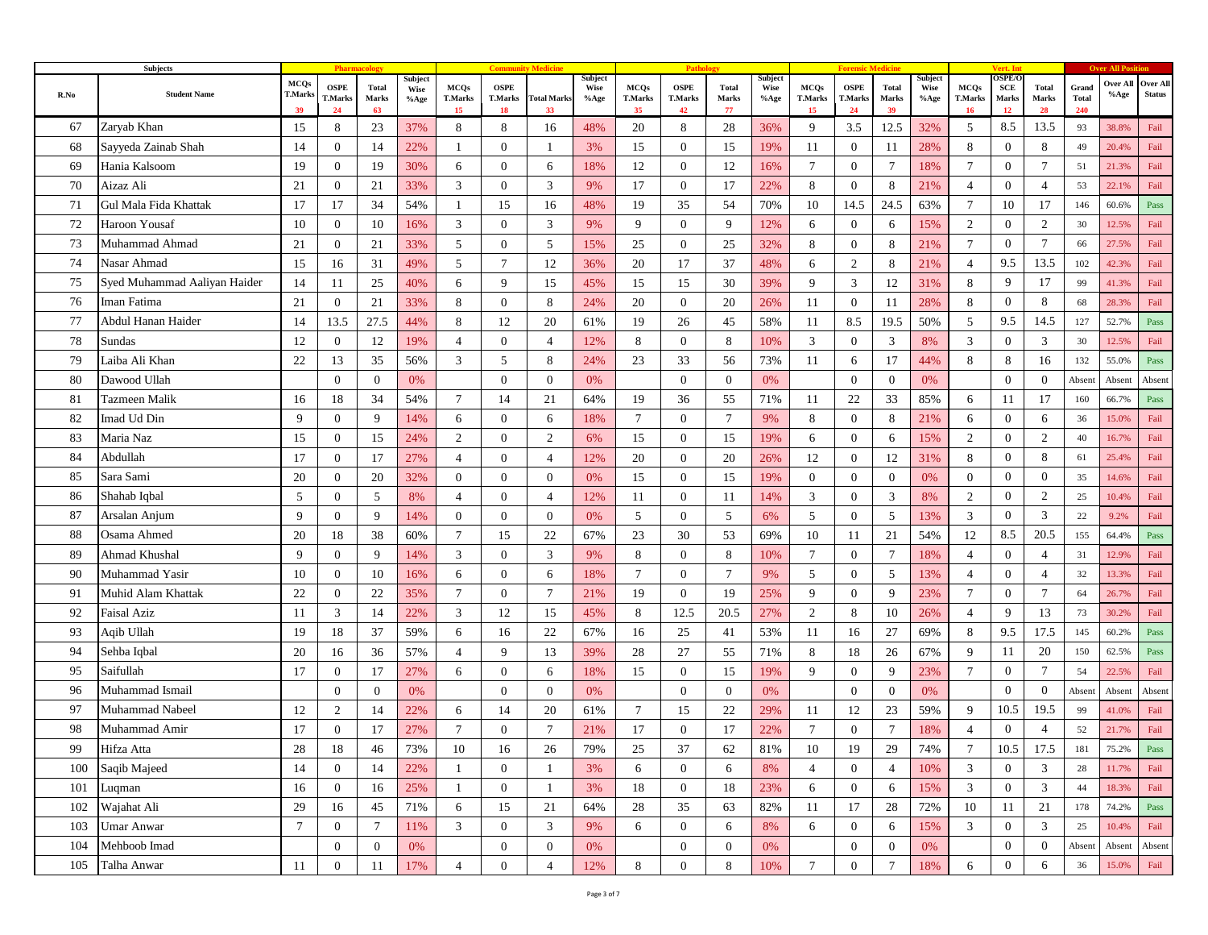|      | <b>Subjects</b>              |                                     |                              |                      |                         |                                     |                                     |                          |                         |                                     |                                     |                             |                                   |                                     |                                     |                             |                         |                                     | Vert. In                            |                      |                              |                  |                           |
|------|------------------------------|-------------------------------------|------------------------------|----------------------|-------------------------|-------------------------------------|-------------------------------------|--------------------------|-------------------------|-------------------------------------|-------------------------------------|-----------------------------|-----------------------------------|-------------------------------------|-------------------------------------|-----------------------------|-------------------------|-------------------------------------|-------------------------------------|----------------------|------------------------------|------------------|---------------------------|
| R.No | <b>Student Name</b>          | <b>MCQs</b><br><b>T.Marks</b><br>39 | <b>OSPE</b><br>T.Marks<br>24 | Total<br>Marks<br>63 | Subject<br>Wise<br>%Age | <b>MCQs</b><br><b>T.Marks</b><br>15 | <b>OSPE</b><br><b>T.Marks</b><br>18 | <b>Total Marks</b><br>33 | Subject<br>Wise<br>%Age | <b>MCQs</b><br><b>T.Marks</b><br>35 | <b>OSPE</b><br><b>T.Marks</b><br>42 | <b>Total</b><br>Marks<br>77 | Subject<br>Wise<br>$%$ % $\gamma$ | <b>MCQs</b><br><b>T.Marks</b><br>15 | <b>OSPE</b><br><b>T.Marks</b><br>24 | <b>Total</b><br>Marks<br>39 | Subject<br>Wise<br>%Age | <b>MCQs</b><br><b>T.Marks</b><br>16 | <b>DSPE/C</b><br>SCE<br>Marks<br>12 | Total<br>Marks<br>28 | Grand<br><b>Total</b><br>240 | Over All<br>%Age | Over All<br><b>Status</b> |
| 67   | Zaryab Khan                  | 15                                  | 8                            | 23                   | 37%                     | 8                                   | 8                                   | 16                       | 48%                     | 20                                  | 8                                   | 28                          | 36%                               | 9                                   | 3.5                                 | 12.5                        | 32%                     | 5                                   | 8.5                                 | 13.5                 | 93                           | 38.8%            | Fail                      |
| 68   | Sayyeda Zainab Shah          | 14                                  | $\overline{0}$               | 14                   | 22%                     |                                     | $\overline{0}$                      |                          | 3%                      | 15                                  | $\overline{0}$                      | 15                          | 19%                               | 11                                  | $\overline{0}$                      | 11                          | 28%                     | 8                                   | $\overline{0}$                      | 8                    | 49                           | 20.4%            | Fail                      |
| 69   | Hania Kalsoom                | 19                                  | $\mathbf{0}$                 | 19                   | 30%                     | 6                                   | $\overline{0}$                      | 6                        | 18%                     | 12                                  | $\mathbf{0}$                        | 12                          | 16%                               | $\tau$                              | $\mathbf{0}$                        | $7\phantom{.0}$             | 18%                     | $\tau$                              | $\overline{0}$                      | $\overline{7}$       | 51                           | 21.3%            | Fail                      |
| 70   | Aizaz Ali                    | 21                                  | $\overline{0}$               | 21                   | 33%                     | 3                                   | $\overline{0}$                      | 3                        | 9%                      | 17                                  | $\overline{0}$                      | 17                          | 22%                               | 8                                   | $\overline{0}$                      | 8                           | 21%                     | $\overline{4}$                      | $\overline{0}$                      | 4                    | 53                           | 22.1%            | Fail                      |
| 71   | Gul Mala Fida Khattak        | 17                                  | 17                           | 34                   | 54%                     | -1                                  | 15                                  | 16                       | 48%                     | 19                                  | 35                                  | 54                          | 70%                               | 10                                  | 14.5                                | 24.5                        | 63%                     | $\overline{7}$                      | 10                                  | 17                   | 146                          | 60.6%            | Pass                      |
| 72   | Haroon Yousaf                | 10                                  | $\overline{0}$               | 10                   | 16%                     | 3                                   | $\overline{0}$                      | 3                        | 9%                      | 9                                   | $\overline{0}$                      | 9                           | 12%                               | 6                                   | $\boldsymbol{0}$                    | 6                           | 15%                     | 2                                   | $\overline{0}$                      | 2                    | 30                           | 12.5%            | Fail                      |
| 73   | Muhammad Ahmad               | 21                                  | $\mathbf{0}$                 | 21                   | 33%                     | 5                                   | $\overline{0}$                      | 5                        | 15%                     | 25                                  | $\overline{0}$                      | 25                          | 32%                               | 8                                   | $\overline{0}$                      | 8                           | 21%                     | $\tau$                              | $\boldsymbol{0}$                    | $\overline{7}$       | 66                           | 27.5%            | Fail                      |
| 74   | Nasar Ahmad                  | 15                                  | 16                           | 31                   | 49%                     | 5                                   | $\tau$                              | 12                       | 36%                     | 20                                  | 17                                  | 37                          | 48%                               | 6                                   | $\overline{2}$                      | 8                           | 21%                     | $\overline{4}$                      | 9.5                                 | 13.5                 | 102                          | 42.3%            | Fail                      |
| 75   | Syed Muhammad Aaliyan Haider | 14                                  | 11                           | 25                   | 40%                     | 6                                   | 9                                   | 15                       | 45%                     | 15                                  | 15                                  | 30                          | 39%                               | 9                                   | 3                                   | 12                          | 31%                     | 8                                   | 9                                   | 17                   | 99                           | 41.3%            | Fail                      |
| 76   | Iman Fatima                  | 21                                  | $\overline{0}$               | 21                   | 33%                     | 8                                   | $\overline{0}$                      | 8                        | 24%                     | 20                                  | $\mathbf{0}$                        | 20                          | 26%                               | 11                                  | $\mathbf{0}$                        | 11                          | 28%                     | 8                                   | $\mathbf{0}$                        | 8                    | 68                           | 28.3%            | Fail                      |
| 77   | Abdul Hanan Haider           | 14                                  | 13.5                         | 27.5                 | 44%                     | 8                                   | 12                                  | 20                       | 61%                     | 19                                  | 26                                  | 45                          | 58%                               | 11                                  | 8.5                                 | 19.5                        | 50%                     | 5                                   | 9.5                                 | 14.5                 | 127                          | 52.7%            | Pass                      |
| 78   | Sundas                       | 12                                  | $\mathbf{0}$                 | 12                   | 19%                     | $\overline{4}$                      | $\overline{0}$                      | $\overline{4}$           | 12%                     | 8                                   | $\mathbf{0}$                        | 8                           | 10%                               | 3                                   | $\mathbf{0}$                        | 3                           | 8%                      | 3                                   | $\mathbf{0}$                        | 3                    | 30                           | 12.5%            | Fail                      |
| 79   | Laiba Ali Khan               | 22                                  | 13                           | 35                   | 56%                     | 3                                   | 5                                   | 8                        | 24%                     | 23                                  | 33                                  | 56                          | 73%                               | 11                                  | 6                                   | 17                          | 44%                     | 8                                   | 8                                   | 16                   | 132                          | 55.0%            | Pass                      |
| 80   | Dawood Ullah                 |                                     | $\overline{0}$               | $\overline{0}$       | 0%                      |                                     | $\overline{0}$                      | $\overline{0}$           | 0%                      |                                     | $\theta$                            | $\theta$                    | 0%                                |                                     | $\mathbf{0}$                        | $\mathbf{0}$                | 0%                      |                                     | $\mathbf{0}$                        | $\mathbf{0}$         | Absent                       | Absent           | Absent                    |
| 81   | Tazmeen Malik                | 16                                  | 18                           | 34                   | 54%                     | $7\phantom{.0}$                     | 14                                  | 21                       | 64%                     | 19                                  | 36                                  | 55                          | 71%                               | 11                                  | 22                                  | 33                          | 85%                     | 6                                   | 11                                  | 17                   | 160                          | 66.7%            | Pass                      |
| 82   | Imad Ud Din                  | 9                                   | $\overline{0}$               | 9                    | 14%                     | 6                                   | $\overline{0}$                      | 6                        | 18%                     | $7\phantom{.0}$                     | $\overline{0}$                      | $7\phantom{.0}$             | 9%                                | 8                                   | $\mathbf{0}$                        | 8                           | 21%                     | 6                                   | $\overline{0}$                      | 6                    | 36                           | 15.0%            | Fail                      |
| 83   | Maria Naz                    | 15                                  | $\mathbf{0}$                 | 15                   | 24%                     | $\overline{2}$                      | $\overline{0}$                      | $\overline{2}$           | 6%                      | 15                                  | $\mathbf{0}$                        | 15                          | 19%                               | 6                                   | $\mathbf{0}$                        | 6                           | 15%                     | $\overline{c}$                      | $\mathbf{0}$                        | 2                    | 40                           | 16.7%            | Fail                      |
| 84   | Abdullah                     | 17                                  | $\overline{0}$               | 17                   | 27%                     | $\overline{4}$                      | $\overline{0}$                      | $\overline{4}$           | 12%                     | 20                                  | $\theta$                            | 20                          | 26%                               | 12                                  | $\overline{0}$                      | 12                          | 31%                     | 8                                   | $\mathbf{0}$                        | 8                    | 61                           | 25.4%            | Fail                      |
| 85   | Sara Sami                    | 20                                  | $\mathbf{0}$                 | 20                   | 32%                     | $\overline{0}$                      | $\overline{0}$                      | $\overline{0}$           | 0%                      | 15                                  | $\mathbf{0}$                        | 15                          | 19%                               | $\overline{0}$                      | $\overline{0}$                      | $\mathbf{0}$                | 0%                      | $\mathbf{0}$                        | $\overline{0}$                      | $\theta$             | 35                           | 14.6%            | Fail                      |
| 86   | Shahab Iqbal                 | 5                                   | $\mathbf{0}$                 | 5                    | 8%                      | $\overline{4}$                      | $\overline{0}$                      | $\overline{4}$           | 12%                     | 11                                  | $\mathbf{0}$                        | -11                         | 14%                               | 3                                   | $\mathbf{0}$                        | 3                           | 8%                      | $\overline{c}$                      | $\mathbf{0}$                        | 2                    | 25                           | 10.4%            | Fail                      |
| 87   | Arsalan Anjum                | 9                                   | $\overline{0}$               | 9                    | 14%                     | $\overline{0}$                      | $\overline{0}$                      | $\overline{0}$           | 0%                      | 5                                   | $\overline{0}$                      | 5                           | 6%                                | 5                                   | $\overline{0}$                      | 5                           | 13%                     | 3                                   | $\mathbf{0}$                        | 3                    | 22                           | 9.2%             | Fail                      |
| 88   | Osama Ahmed                  | 20                                  | 18                           | 38                   | 60%                     | $\overline{7}$                      | 15                                  | 22                       | 67%                     | 23                                  | 30                                  | 53                          | 69%                               | 10                                  | 11                                  | 21                          | 54%                     | 12                                  | 8.5                                 | 20.5                 | 155                          | 64.4%            | Pass                      |
| 89   | Ahmad Khushal                | 9                                   | $\mathbf{0}$                 | 9                    | 14%                     | 3                                   | $\overline{0}$                      | 3                        | 9%                      | 8                                   | $\overline{0}$                      | 8                           | 10%                               | $\tau$                              | $\mathbf{0}$                        | $7\phantom{.0}$             | 18%                     | $\overline{4}$                      | $\overline{0}$                      | $\overline{4}$       | 31                           | 12.9%            | Fail                      |
| 90   | Muhammad Yasir               | 10                                  | $\overline{0}$               | 10                   | 16%                     | 6                                   | $\overline{0}$                      | 6                        | 18%                     | $\overline{7}$                      | $\overline{0}$                      | $\overline{7}$              | 9%                                | 5                                   | $\overline{0}$                      | 5                           | 13%                     | 4                                   | $\overline{0}$                      | $\overline{4}$       | 32                           | 13.3%            | Fail                      |
| 91   | Muhid Alam Khattak           | 22                                  | $\overline{0}$               | 22                   | 35%                     | $\overline{7}$                      | $\overline{0}$                      | $\tau$                   | 21%                     | 19                                  | $\theta$                            | 19                          | 25%                               | 9                                   | $\overline{0}$                      | 9                           | 23%                     | 7                                   | $\overline{0}$                      | $7\phantom{.0}$      | 64                           | 26.7%            | Fail                      |
| 92   | Faisal Aziz                  | 11                                  | 3                            | 14                   | 22%                     | 3                                   | 12                                  | 15                       | 45%                     | 8                                   | 12.5                                | 20.5                        | 27%                               | $\overline{2}$                      | 8                                   | 10                          | 26%                     | $\overline{4}$                      | 9                                   | 13                   | 73                           | 30.2%            | Fail                      |
| 93   | Aqib Ullah                   | 19                                  | 18                           | 37                   | 59%                     | 6                                   | 16                                  | 22                       | 67%                     | 16                                  | 25                                  | 41                          | 53%                               | 11                                  | 16                                  | 27                          | 69%                     | 8                                   | 9.5                                 | 17.5                 | 145                          | 60.2%            | Pass                      |
| 94   | Sehba Iqbal                  | 20                                  | 16                           | 36                   | 57%                     | $\overline{4}$                      | 9                                   | 13                       | 39%                     | 28                                  | 27                                  | 55                          | 71%                               | 8                                   | 18                                  | 26                          | 67%                     | 9                                   | 11                                  | 20                   | 150                          | 62.5%            | Pass                      |
| 95   | Saifullah                    | 17                                  | $\overline{0}$               | 17                   | 27%                     | 6                                   | $\mathbf{0}$                        | 6                        | 18%                     | 15                                  | $\mathbf{0}$                        | 15                          | 19%                               | 9                                   | $\overline{0}$                      | 9                           | 23%                     | $\overline{7}$                      | $\overline{0}$                      | $\tau$               | 54                           | 22.5%            | Fail                      |
| 96   | Muhammad Ismail              |                                     | $\overline{0}$               | $\overline{0}$       | 0%                      |                                     | $\overline{0}$                      | $\overline{0}$           | 0%                      |                                     | $\overline{0}$                      | $\overline{0}$              | 0%                                |                                     | $\theta$                            | $\mathbf{0}$                | 0%                      |                                     | $\mathbf{0}$                        | $\mathbf{0}$         | Absent                       | Absent           | Absent                    |
| 97   | Muhammad Nabeel              | 12                                  | 2                            | 14                   | 22%                     | 6                                   | 14                                  | 20                       | 61%                     | $\overline{7}$                      | 15                                  | 22                          | 29%                               | 11                                  | 12                                  | 23                          | 59%                     | 9                                   | 10.5                                | 19.5                 | 99                           | 41.0%            | Fail                      |
| 98   | Muhammad Amir                | 17                                  | $\mathbf{0}$                 | 17                   | 27%                     | $\tau$                              | $\overline{0}$                      | $\tau$                   | 21%                     | 17                                  | $\mathbf{0}$                        | 17                          | 22%                               | $\tau$                              | $\mathbf{0}$                        | $\overline{7}$              | 18%                     | $\overline{4}$                      | $\mathbf{0}$                        | $\overline{4}$       | 52                           | 21.7%            | Fail                      |
| 99   | Hifza Atta                   | 28                                  | 18                           | 46                   | 73%                     | 10                                  | 16                                  | 26                       | 79%                     | 25                                  | 37                                  | 62                          | 81%                               | 10                                  | 19                                  | 29                          | 74%                     | 7                                   | 10.5                                | 17.5                 | 181                          | 75.2%            | Pass                      |
| 100  | Saqib Majeed                 | 14                                  | $\overline{0}$               | 14                   | 22%                     | 1                                   | $\overline{0}$                      | $\mathbf{1}$             | 3%                      | 6                                   | $\overline{0}$                      | 6                           | 8%                                | $\overline{4}$                      | $\overline{0}$                      | $\overline{4}$              | 10%                     | 3                                   | $\overline{0}$                      | 3                    | 28                           | 11.7%            | Fail                      |
| 101  | Luqman                       | 16                                  | $\overline{0}$               | 16                   | 25%                     |                                     | $\mathbf{0}$                        | 1                        | 3%                      | 18                                  | $\mathbf{0}$                        | 18                          | 23%                               | 6                                   | $\overline{0}$                      | 6                           | 15%                     | 3                                   | $\overline{0}$                      | 3                    | 44                           | 18.3%            | Fail                      |
| 102  | Wajahat Ali                  | 29                                  | 16                           | 45                   | 71%                     | 6                                   | 15                                  | 21                       | 64%                     | 28                                  | 35                                  | 63                          | 82%                               | 11                                  | 17                                  | 28                          | 72%                     | 10                                  | 11                                  | 21                   | 178                          | 74.2%            | Pass                      |
| 103  | <b>Umar Anwar</b>            | $7\phantom{.0}$                     | $\mathbf{0}$                 | $7\phantom{.0}$      | 11%                     | 3                                   | $\mathbf{0}$                        | 3                        | 9%                      | 6                                   | $\overline{0}$                      | 6                           | 8%                                | 6                                   | $\mathbf{0}$                        | 6                           | 15%                     | 3                                   | $\mathbf{0}$                        | 3                    | 25                           | 10.4%            | Fail                      |
| 104  | Mehboob Imad                 |                                     | $\overline{0}$               | $\overline{0}$       | 0%                      |                                     | $\overline{0}$                      | $\overline{0}$           | 0%                      |                                     | $\mathbf{0}$                        | $\mathbf{0}$                | $0\%$                             |                                     | $\mathbf{0}$                        | $\overline{0}$              | 0%                      |                                     | $\boldsymbol{0}$                    | $\mathbf{0}$         | Absent                       | Absent           | Absent                    |
| 105  | Talha Anwar                  | 11                                  | $\mathbf{0}$                 | 11                   | 17%                     | $\overline{4}$                      | $\overline{0}$                      | $\overline{4}$           | 12%                     | 8                                   | $\mathbf{0}$                        | $8\phantom{1}$              | 10%                               | $7\phantom{.0}$                     | $\mathbf{0}$                        | $\tau$                      | 18%                     | 6                                   | $\overline{0}$                      | 6                    | 36                           | 15.0%            | Fail                      |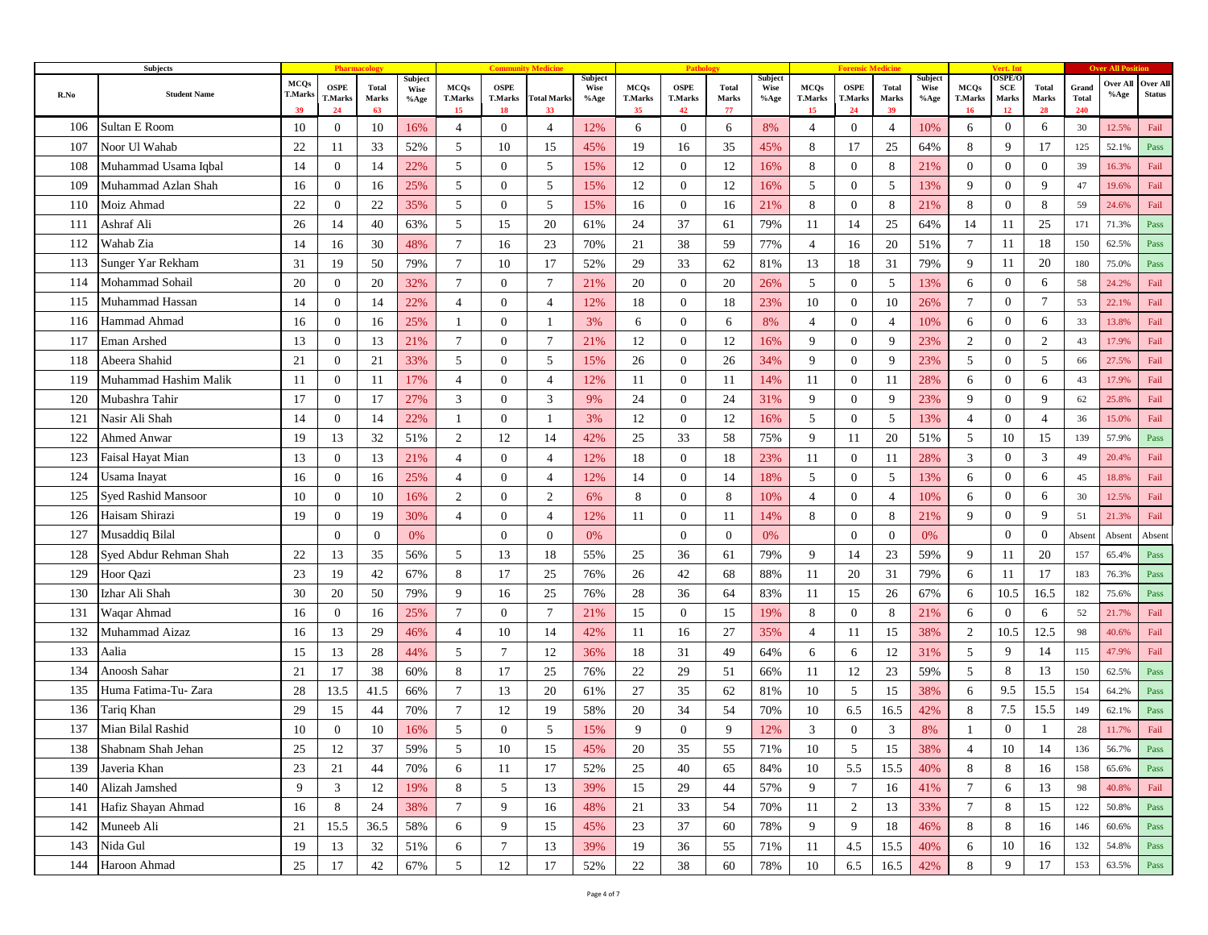|      | Subjects                   |                                     |                              |                             |                                |                                     |                                     |                          |                                |                                     | Path                                |                             |                         |                                     |                                     |                             |                                |                                     | Vert. In                            |                      |                              |                            |                           |
|------|----------------------------|-------------------------------------|------------------------------|-----------------------------|--------------------------------|-------------------------------------|-------------------------------------|--------------------------|--------------------------------|-------------------------------------|-------------------------------------|-----------------------------|-------------------------|-------------------------------------|-------------------------------------|-----------------------------|--------------------------------|-------------------------------------|-------------------------------------|----------------------|------------------------------|----------------------------|---------------------------|
| R.No | <b>Student Name</b>        | <b>MCQs</b><br><b>T.Marks</b><br>39 | <b>OSPE</b><br>T.Marks<br>24 | <b>Total</b><br>Marks<br>63 | Subject<br><b>Wise</b><br>%Age | <b>MCQs</b><br><b>T.Marks</b><br>15 | <b>OSPE</b><br><b>T.Marks</b><br>18 | <b>Total Marks</b><br>33 | Subject<br><b>Wise</b><br>%Age | <b>MCQs</b><br><b>T.Marks</b><br>35 | <b>OSPE</b><br><b>T.Marks</b><br>42 | <b>Total</b><br>Marks<br>77 | Subject<br>Wise<br>%Age | <b>MCQs</b><br><b>T.Marks</b><br>15 | <b>OSPE</b><br><b>T.Marks</b><br>24 | <b>Total</b><br>Marks<br>39 | Subject<br><b>Wise</b><br>%Age | <b>MCQs</b><br><b>T.Marks</b><br>16 | <b>DSPE/C</b><br>SCE<br>Marks<br>12 | Total<br>Marks<br>28 | Grand<br><b>Total</b><br>240 | Over All<br>$%$ % $\gamma$ | Over All<br><b>Status</b> |
| 106  | Sultan E Room              | 10                                  | $\overline{0}$               | 10                          | 16%                            | $\overline{4}$                      | $\mathbf{0}$                        | 4                        | 12%                            | 6                                   | $\bf{0}$                            | 6                           | 8%                      | 4                                   | $\mathbf{0}$                        | $\overline{4}$              | 10%                            | 6                                   | $\overline{0}$                      | 6                    | 30                           | 12.5%                      | Fail                      |
| 107  | Noor Ul Wahab              | 22                                  | 11                           | 33                          | 52%                            | 5                                   | 10                                  | 15                       | 45%                            | 19                                  | 16                                  | 35                          | 45%                     | 8                                   | 17                                  | 25                          | 64%                            | 8                                   | 9                                   | 17                   | 125                          | 52.1%                      | Pass                      |
| 108  | Muhammad Usama Iqbal       | 14                                  | $\overline{0}$               | 14                          | 22%                            | 5                                   | $\overline{0}$                      | 5                        | 15%                            | 12                                  | $\mathbf{0}$                        | 12                          | 16%                     | 8                                   | $\mathbf{0}$                        | 8                           | 21%                            | $\mathbf{0}$                        | $\mathbf{0}$                        | $\theta$             | 39                           | 16.3%                      | Fail                      |
| 109  | Muhammad Azlan Shah        | 16                                  | $\mathbf{0}$                 | 16                          | 25%                            | 5                                   | $\overline{0}$                      | 5                        | 15%                            | 12                                  | $\mathbf{0}$                        | 12                          | 16%                     | 5                                   | $\mathbf{0}$                        | 5                           | 13%                            | 9                                   | $\mathbf{0}$                        | 9                    | 47                           | 19.6%                      | Fail                      |
| 110  | Moiz Ahmad                 | 22                                  | $\overline{0}$               | 22                          | 35%                            | 5                                   | $\overline{0}$                      | 5                        | 15%                            | 16                                  | $\mathbf{0}$                        | 16                          | 21%                     | 8                                   | $\mathbf{0}$                        | 8                           | 21%                            | 8                                   | $\overline{0}$                      | 8                    | 59                           | 24.6%                      | Fail                      |
| 111  | Ashraf Ali                 | 26                                  | 14                           | 40                          | 63%                            | 5                                   | 15                                  | 20                       | 61%                            | 24                                  | 37                                  | 61                          | 79%                     | 11                                  | 14                                  | 25                          | 64%                            | 14                                  | 11                                  | 25                   | 171                          | 71.3%                      | Pass                      |
| 112  | Wahab Zia                  | 14                                  | 16                           | 30                          | 48%                            | $\tau$                              | 16                                  | 23                       | 70%                            | 21                                  | 38                                  | 59                          | 77%                     | $\overline{4}$                      | 16                                  | 20                          | 51%                            | $\overline{7}$                      | 11                                  | 18                   | 150                          | 62.5%                      | Pass                      |
| 113  | Sunger Yar Rekham          | 31                                  | 19                           | 50                          | 79%                            | $\overline{7}$                      | 10                                  | 17                       | 52%                            | 29                                  | 33                                  | 62                          | 81%                     | 13                                  | 18                                  | 31                          | 79%                            | 9                                   | 11                                  | 20                   | 180                          | 75.0%                      | Pass                      |
| 114  | Mohammad Sohail            | 20                                  | $\overline{0}$               | 20                          | 32%                            | $\overline{7}$                      | $\overline{0}$                      | $7\phantom{.0}$          | 21%                            | 20                                  | $\overline{0}$                      | 20                          | 26%                     | 5                                   | $\overline{0}$                      | 5                           | 13%                            | 6                                   | $\mathbf{0}$                        | 6                    | 58                           | 24.2%                      | Fail                      |
| 115  | Muhammad Hassan            | 14                                  | $\overline{0}$               | 14                          | 22%                            | $\overline{4}$                      | $\overline{0}$                      | $\overline{4}$           | 12%                            | 18                                  | $\overline{0}$                      | 18                          | 23%                     | 10                                  | $\mathbf{0}$                        | 10                          | 26%                            | $\overline{7}$                      | $\mathbf{0}$                        | $7\phantom{.0}$      | 53                           | 22.1%                      | Fail                      |
| 116  | Hammad Ahmad               | 16                                  | $\mathbf{0}$                 | 16                          | 25%                            |                                     | $\mathbf{0}$                        |                          | 3%                             | 6                                   | $\bf{0}$                            | 6                           | 8%                      | $\overline{4}$                      | $\boldsymbol{0}$                    | $\overline{4}$              | 10%                            | 6                                   | $\overline{0}$                      | 6                    | 33                           | 13.8%                      | Fail                      |
| 117  | Eman Arshed                | 13                                  | $\mathbf{0}$                 | 13                          | 21%                            | $7\phantom{.0}$                     | $\overline{0}$                      | $\overline{7}$           | 21%                            | 12                                  | $\mathbf{0}$                        | 12                          | 16%                     | 9                                   | $\mathbf{0}$                        | 9                           | 23%                            | $\overline{c}$                      | $\mathbf{0}$                        | 2                    | 43                           | 17.9%                      | Fail                      |
| 118  | Abeera Shahid              | 21                                  | $\mathbf{0}$                 | 21                          | 33%                            | 5                                   | $\mathbf{0}$                        | 5                        | 15%                            | 26                                  | $\overline{0}$                      | 26                          | 34%                     | 9                                   | $\boldsymbol{0}$                    | 9                           | 23%                            | 5                                   | $\overline{0}$                      | 5                    | 66                           | 27.5%                      | Fail                      |
| 119  | Muhammad Hashim Malik      | 11                                  | $\mathbf{0}$                 | 11                          | 17%                            | $\overline{4}$                      | $\mathbf{0}$                        | $\overline{4}$           | 12%                            | 11                                  | $\mathbf{0}$                        | 11                          | 14%                     | 11                                  | $\mathbf{0}$                        | 11                          | 28%                            | 6                                   | $\mathbf{0}$                        | 6                    | 43                           | 17.9%                      | Fail                      |
| 120  | Mubashra Tahir             | 17                                  | $\mathbf{0}$                 | 17                          | 27%                            | 3                                   | $\overline{0}$                      | 3                        | 9%                             | 24                                  | $\overline{0}$                      | 24                          | 31%                     | 9                                   | $\boldsymbol{0}$                    | 9                           | 23%                            | 9                                   | $\overline{0}$                      | 9                    | 62                           | 25.8%                      | Fail                      |
| 121  | Nasir Ali Shah             | 14                                  | $\mathbf{0}$                 | 14                          | 22%                            |                                     | $\overline{0}$                      |                          | 3%                             | 12                                  | $\mathbf{0}$                        | 12                          | 16%                     | 5                                   | $\mathbf{0}$                        | 5                           | 13%                            | $\overline{4}$                      | $\mathbf{0}$                        | $\overline{4}$       | 36                           | 15.0%                      | Fail                      |
| 122  | Ahmed Anwar                | 19                                  | 13                           | 32                          | 51%                            | $\overline{2}$                      | 12                                  | 14                       | 42%                            | 25                                  | 33                                  | 58                          | 75%                     | 9                                   | 11                                  | 20                          | 51%                            | 5                                   | 10                                  | 15                   | 139                          | 57.9%                      | Pass                      |
| 123  | Faisal Hayat Mian          | 13                                  | $\mathbf{0}$                 | 13                          | 21%                            | $\overline{4}$                      | $\overline{0}$                      | $\overline{4}$           | 12%                            | 18                                  | $\mathbf{0}$                        | 18                          | 23%                     | 11                                  | $\mathbf{0}$                        | 11                          | 28%                            | 3                                   | $\mathbf{0}$                        | 3                    | 49                           | 20.4%                      | Fail                      |
| 124  | Usama Inayat               | 16                                  | $\overline{0}$               | 16                          | 25%                            | $\overline{4}$                      | $\overline{0}$                      | $\overline{4}$           | 12%                            | 14                                  | $\overline{0}$                      | 14                          | 18%                     | 5                                   | $\boldsymbol{0}$                    | 5                           | 13%                            | 6                                   | $\overline{0}$                      | 6                    | 45                           | 18.8%                      | Fail                      |
| 125  | <b>Syed Rashid Mansoor</b> | 10                                  | 0                            | 10                          | 16%                            | 2                                   | $\overline{0}$                      | 2                        | 6%                             | 8                                   | $\mathbf{0}$                        | 8                           | 10%                     | $\overline{4}$                      | $\mathbf{0}$                        | $\overline{4}$              | 10%                            | 6                                   | $\overline{0}$                      | 6                    | 30                           | 12.5%                      | Fail                      |
| 126  | Haisam Shirazi             | 19                                  | $\overline{0}$               | 19                          | 30%                            | $\overline{4}$                      | $\overline{0}$                      | $\overline{4}$           | 12%                            | 11                                  | $\overline{0}$                      | -11                         | 14%                     | 8                                   | $\boldsymbol{0}$                    | 8                           | 21%                            | 9                                   | $\overline{0}$                      | 9                    | 51                           | 21.3%                      | Fail                      |
| 127  | Musaddiq Bilal             |                                     | $\mathbf{0}$                 | $\theta$                    | 0%                             |                                     | $\overline{0}$                      | $\overline{0}$           | 0%                             |                                     | $\overline{0}$                      | $\overline{0}$              | 0%                      |                                     | $\mathbf{0}$                        | $\mathbf{0}$                | 0%                             |                                     | $\mathbf{0}$                        | $\mathbf{0}$         | Absent                       | Absent                     | Absent                    |
| 128  | Syed Abdur Rehman Shah     | 22                                  | 13                           | 35                          | 56%                            | 5                                   | 13                                  | 18                       | 55%                            | 25                                  | 36                                  | 61                          | 79%                     | 9                                   | 14                                  | 23                          | 59%                            | 9                                   | 11                                  | 20                   | 157                          | 65.4%                      | Pass                      |
| 129  | Hoor Qazi                  | 23                                  | 19                           | 42                          | 67%                            | 8                                   | 17                                  | 25                       | 76%                            | 26                                  | 42                                  | 68                          | 88%                     | 11                                  | 20                                  | 31                          | 79%                            | 6                                   | 11                                  | 17                   | 183                          | 76.3%                      | Pass                      |
| 130  | Izhar Ali Shah             | 30                                  | 20                           | 50                          | 79%                            | 9                                   | 16                                  | 25                       | 76%                            | 28                                  | 36                                  | 64                          | 83%                     | 11                                  | 15                                  | 26                          | 67%                            | 6                                   | 10.5                                | 16.5                 | 182                          | 75.6%                      | Pass                      |
| 131  | Waqar Ahmad                | 16                                  | $\overline{0}$               | 16                          | 25%                            | $\tau$                              | $\overline{0}$                      | $\tau$                   | 21%                            | 15                                  | $\theta$                            | 15                          | 19%                     | 8                                   | $\mathbf{0}$                        | 8                           | 21%                            | 6                                   | $\mathbf{0}$                        | 6                    | 52                           | 21.7%                      | Fail                      |
| 132  | Muhammad Aizaz             | 16                                  | 13                           | 29                          | 46%                            | $\overline{4}$                      | 10                                  | 14                       | 42%                            | 11                                  | 16                                  | 27                          | 35%                     | $\overline{4}$                      | 11                                  | 15                          | 38%                            | $\overline{2}$                      | 10.5                                | 12.5                 | 98                           | 40.6%                      | Fail                      |
| 133  | Aalia                      | 15                                  | 13                           | 28                          | 44%                            | 5                                   | $\tau$                              | 12                       | 36%                            | 18                                  | 31                                  | 49                          | 64%                     | 6                                   | 6                                   | 12                          | 31%                            | 5                                   | 9                                   | 14                   | 115                          | 47.9%                      | Fail                      |
| 134  | Anoosh Sahar               | 21                                  | 17                           | 38                          | 60%                            | 8                                   | 17                                  | 25                       | 76%                            | 22                                  | 29                                  | 51                          | 66%                     | 11                                  | 12                                  | 23                          | 59%                            | 5                                   | 8                                   | 13                   | 150                          | 62.5%                      | Pass                      |
| 135  | Huma Fatima-Tu- Zara       | 28                                  | 13.5                         | 41.5                        | 66%                            | $\tau$                              | 13                                  | 20                       | 61%                            | 27                                  | 35                                  | 62                          | 81%                     | 10                                  | 5                                   | 15                          | 38%                            | 6                                   | 9.5                                 | 15.5                 | 154                          | 64.2%                      | Pass                      |
| 136  | Tariq Khan                 | 29                                  | 15                           | 44                          | 70%                            | $\tau$                              | 12                                  | 19                       | 58%                            | 20                                  | 34                                  | 54                          | 70%                     | 10                                  | 6.5                                 | 16.5                        | 42%                            | 8                                   | 7.5                                 | 15.5                 | 149                          | 62.1%                      | Pass                      |
| 137  | Mian Bilal Rashid          | 10                                  | $\overline{0}$               | 10                          | 16%                            | 5                                   | $\overline{0}$                      | 5                        | 15%                            | 9                                   | $\theta$                            | 9                           | 12%                     | 3                                   | $\mathbf{0}$                        | 3                           | 8%                             | $\overline{1}$                      | $\mathbf{0}$                        |                      | 28                           | 11.7%                      | Fail                      |
| 138  | Shabnam Shah Jehan         | 25                                  | 12                           | 37                          | 59%                            | $\mathcal{L}$                       | 10                                  | 15                       | 45%                            | 20                                  | 35                                  | 55                          | 71%                     | 10                                  | 5                                   | 15                          | 38%                            | 4                                   | 10                                  | 14                   | 136                          | 56.7%                      | Pass                      |
| 139  | Javeria Khan               | 23                                  | 21                           | 44                          | 70%                            | 6                                   | 11                                  | 17                       | 52%                            | 25                                  | 40                                  | 65                          | 84%                     | 10                                  | 5.5                                 | 15.5                        | 40%                            | $\,8\,$                             | 8                                   | 16                   | 158                          | 65.6%                      | Pass                      |
| 140  | Alizah Jamshed             | 9                                   | $\mathfrak{Z}$               | 12                          | 19%                            | 8                                   | 5                                   | 13                       | 39%                            | 15                                  | 29                                  | 44                          | 57%                     | 9                                   | $\tau$                              | 16                          | 41%                            | $\tau$                              | 6                                   | 13                   | 98                           | 40.8%                      | Fail                      |
| 141  | Hafiz Shayan Ahmad         | 16                                  | 8                            | 24                          | 38%                            | $\tau$                              | 9                                   | 16                       | 48%                            | 21                                  | 33                                  | 54                          | 70%                     | 11                                  | $\overline{2}$                      | 13                          | 33%                            | $\overline{7}$                      | 8                                   | 15                   | 122                          | 50.8%                      | Pass                      |
| 142  | Muneeb Ali                 | 21                                  | 15.5                         | 36.5                        | 58%                            | 6                                   | 9                                   | 15                       | 45%                            | 23                                  | 37                                  | 60                          | 78%                     | 9                                   | 9                                   | 18                          | 46%                            | 8                                   | 8                                   | 16                   | 146                          | 60.6%                      | Pass                      |
| 143  | Nida Gul                   | 19                                  | 13                           | 32                          | 51%                            | 6                                   | $7\overline{ }$                     | 13                       | 39%                            | 19                                  | 36                                  | 55                          | 71%                     | 11                                  | 4.5                                 | 15.5                        | 40%                            | 6                                   | 10                                  | 16                   | 132                          | 54.8%                      | Pass                      |
| 144  | Haroon Ahmad               | 25                                  | 17                           | $42\,$                      | 67%                            | $5\overline{)}$                     | 12                                  | $17\,$                   | 52%                            | $22\,$                              | $38\,$                              | 60                          | 78%                     | $10\,$                              | 6.5                                 | 16.5                        | 42%                            | $\,8\,$                             | 9                                   | 17                   | 153                          | 63.5%                      | $\mathbf{Pass}$           |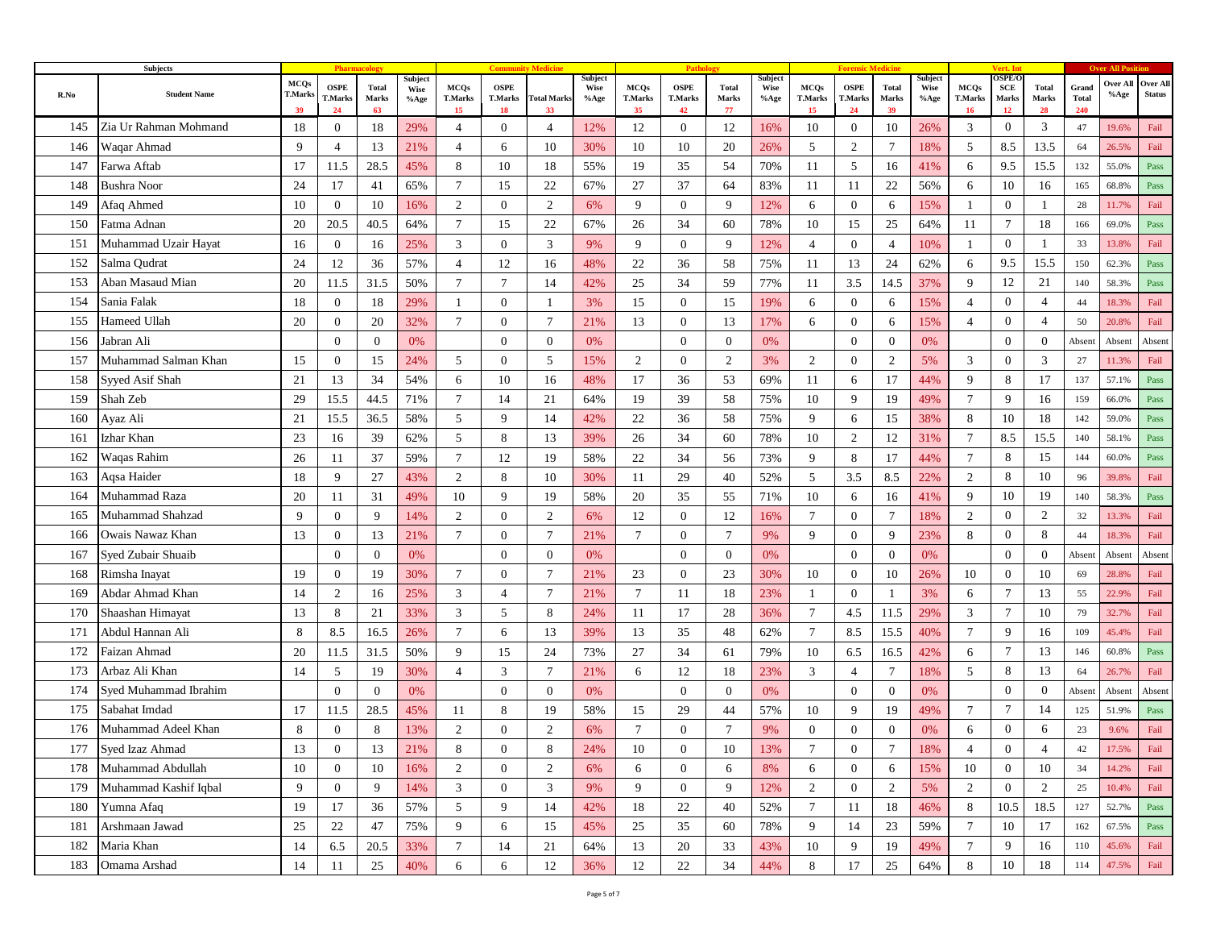|      | Subjects              |                                     |                              |                             |                                |                                     |                                     |                          |                                |                                     | Path                                |                             |                         |                                     |                                     |                             |                                |                                            | Vert. In                            |                      |                              |                  |                           |
|------|-----------------------|-------------------------------------|------------------------------|-----------------------------|--------------------------------|-------------------------------------|-------------------------------------|--------------------------|--------------------------------|-------------------------------------|-------------------------------------|-----------------------------|-------------------------|-------------------------------------|-------------------------------------|-----------------------------|--------------------------------|--------------------------------------------|-------------------------------------|----------------------|------------------------------|------------------|---------------------------|
| R.No | <b>Student Name</b>   | <b>MCQs</b><br><b>T.Marks</b><br>39 | <b>OSPE</b><br>T.Marks<br>24 | <b>Total</b><br>Marks<br>63 | Subject<br><b>Wise</b><br>%Age | <b>MCQs</b><br><b>T.Marks</b><br>15 | <b>OSPE</b><br><b>T.Marks</b><br>18 | <b>Total Marks</b><br>33 | Subject<br><b>Wise</b><br>%Age | <b>MCQs</b><br><b>T.Marks</b><br>35 | <b>OSPE</b><br><b>T.Marks</b><br>42 | <b>Total</b><br>Marks<br>77 | Subject<br>Wise<br>%Age | <b>MCQs</b><br><b>T.Marks</b><br>15 | <b>OSPE</b><br><b>T.Marks</b><br>24 | <b>Total</b><br>Marks<br>39 | Subject<br><b>Wise</b><br>%Age | <b>MCQs</b><br><b>T.Marks</b><br><b>16</b> | <b>DSPE/C</b><br>SCE<br>Marks<br>12 | Total<br>Marks<br>28 | Grand<br><b>Total</b><br>240 | Over All<br>%Age | Over All<br><b>Status</b> |
| 145  | Zia Ur Rahman Mohmand | 18                                  | $\overline{0}$               | 18                          | 29%                            | 4                                   | $\mathbf{0}$                        | 4                        | 12%                            | 12                                  | $\boldsymbol{0}$                    | 12                          | 16%                     | 10                                  | $\mathbf{0}$                        | 10                          | 26%                            | 3                                          | $\overline{0}$                      | 3                    | 47                           | 19.6%            | Fail                      |
| 146  | Waqar Ahmad           | 9                                   | $\overline{4}$               | 13                          | 21%                            | $\overline{4}$                      | 6                                   | 10                       | 30%                            | 10                                  | 10                                  | 20                          | 26%                     | 5                                   | 2                                   | $7\phantom{.0}$             | 18%                            | 5                                          | 8.5                                 | 13.5                 | 64                           | 26.5%            | Fail                      |
| 147  | Farwa Aftab           | 17                                  | 11.5                         | 28.5                        | 45%                            | 8                                   | 10                                  | 18                       | 55%                            | 19                                  | 35                                  | 54                          | 70%                     | 11                                  | 5                                   | 16                          | 41%                            | 6                                          | 9.5                                 | 15.5                 | 132                          | 55.0%            | Pass                      |
| 148  | <b>Bushra Noor</b>    | 24                                  | 17                           | 41                          | 65%                            | $7\phantom{.0}$                     | 15                                  | 22                       | 67%                            | 27                                  | 37                                  | 64                          | 83%                     | 11                                  | 11                                  | 22                          | 56%                            | 6                                          | 10                                  | 16                   | 165                          | 68.8%            | Pass                      |
| 149  | Afaq Ahmed            | 10                                  | $\overline{0}$               | 10                          | 16%                            | $\overline{2}$                      | $\overline{0}$                      | 2                        | 6%                             | 9                                   | $\overline{0}$                      | 9                           | 12%                     | 6                                   | $\mathbf{0}$                        | 6                           | 15%                            | $\overline{1}$                             | $\mathbf{0}$                        |                      | 28                           | 11.7%            | Fail                      |
| 150  | Fatma Adnan           | 20                                  | 20.5                         | 40.5                        | 64%                            | $\tau$                              | 15                                  | 22                       | 67%                            | 26                                  | 34                                  | 60                          | 78%                     | 10                                  | 15                                  | 25                          | 64%                            | 11                                         | 7                                   | 18                   | 166                          | 69.0%            | Pass                      |
| 151  | Muhammad Uzair Hayat  | 16                                  | $\overline{0}$               | 16                          | 25%                            | 3                                   | $\overline{0}$                      | 3                        | 9%                             | 9                                   | $\overline{0}$                      | 9                           | 12%                     | $\overline{4}$                      | $\mathbf{0}$                        | $\overline{4}$              | 10%                            | - 1                                        | $\mathbf{0}$                        |                      | 33                           | 13.8%            | Fail                      |
| 152  | Salma Qudrat          | 24                                  | 12                           | 36                          | 57%                            | $\overline{4}$                      | 12                                  | 16                       | 48%                            | 22                                  | 36                                  | 58                          | 75%                     | 11                                  | 13                                  | 24                          | 62%                            | 6                                          | 9.5                                 | 15.5                 | 150                          | 62.3%            | Pass                      |
| 153  | Aban Masaud Mian      | 20                                  | 11.5                         | 31.5                        | 50%                            | $\tau$                              | $\tau$                              | 14                       | 42%                            | 25                                  | 34                                  | 59                          | 77%                     | 11                                  | 3.5                                 | 14.5                        | 37%                            | 9                                          | 12                                  | 21                   | 140                          | 58.3%            | Pass                      |
| 154  | Sania Falak           | 18                                  | $\overline{0}$               | 18                          | 29%                            | $\mathbf{1}$                        | $\mathbf{0}$                        | 1                        | 3%                             | 15                                  | $\mathbf{0}$                        | 15                          | 19%                     | 6                                   | $\mathbf{0}$                        | 6                           | 15%                            | $\overline{4}$                             | $\mathbf{0}$                        | $\overline{4}$       | 44                           | 18.3%            | Fail                      |
| 155  | Hameed Ullah          | 20                                  | $\mathbf{0}$                 | 20                          | 32%                            | 7                                   | $\overline{0}$                      | 7                        | 21%                            | 13                                  | $\overline{0}$                      | 13                          | 17%                     | 6                                   | $\boldsymbol{0}$                    | 6                           | 15%                            | $\overline{4}$                             | $\overline{0}$                      | $\overline{4}$       | 50                           | 20.8%            | Fail                      |
| 156  | Jabran Ali            |                                     | $\mathbf{0}$                 | $\mathbf{0}$                | 0%                             |                                     | $\overline{0}$                      | $\overline{0}$           | 0%                             |                                     | $\mathbf{0}$                        | $\mathbf{0}$                | 0%                      |                                     | $\mathbf{0}$                        | $\mathbf{0}$                | 0%                             |                                            | $\mathbf{0}$                        | $\mathbf{0}$         | Absent                       | Absent           | Absent                    |
| 157  | Muhammad Salman Khan  | 15                                  | $\mathbf{0}$                 | 15                          | 24%                            | 5                                   | $\mathbf{0}$                        | 5                        | 15%                            | 2                                   | $\overline{0}$                      | $\overline{2}$              | 3%                      | 2                                   | $\boldsymbol{0}$                    | 2                           | 5%                             | 3                                          | $\overline{0}$                      | 3                    | 27                           | 11.3%            | Fail                      |
| 158  | Syyed Asif Shah       | 21                                  | 13                           | 34                          | 54%                            | 6                                   | 10                                  | 16                       | 48%                            | 17                                  | 36                                  | 53                          | 69%                     | 11                                  | 6                                   | 17                          | 44%                            | 9                                          | 8                                   | 17                   | 137                          | 57.1%            | Pass                      |
| 159  | Shah Zeb              | 29                                  | 15.5                         | 44.5                        | 71%                            | $\tau$                              | 14                                  | 21                       | 64%                            | 19                                  | 39                                  | 58                          | 75%                     | 10                                  | 9                                   | 19                          | 49%                            | 7                                          | 9                                   | 16                   | 159                          | 66.0%            | Pass                      |
| 160  | Ayaz Ali              | 21                                  | 15.5                         | 36.5                        | 58%                            | 5                                   | 9                                   | 14                       | 42%                            | 22                                  | 36                                  | 58                          | 75%                     | 9                                   | 6                                   | 15                          | 38%                            | 8                                          | 10                                  | 18                   | 142                          | 59.0%            | Pass                      |
| 161  | Izhar Khan            | 23                                  | 16                           | 39                          | 62%                            | 5                                   | 8                                   | 13                       | 39%                            | 26                                  | 34                                  | 60                          | 78%                     | 10                                  | $\overline{2}$                      | 12                          | 31%                            | $\overline{7}$                             | 8.5                                 | 15.5                 | 140                          | 58.1%            | Pass                      |
| 162  | Waqas Rahim           | 26                                  | 11                           | 37                          | 59%                            | $\tau$                              | 12                                  | 19                       | 58%                            | 22                                  | 34                                  | 56                          | 73%                     | 9                                   | 8                                   | 17                          | 44%                            | $\overline{7}$                             | 8                                   | 15                   | 144                          | 60.0%            | Pass                      |
| 163  | Aqsa Haider           | 18                                  | 9                            | 27                          | 43%                            | 2                                   | 8                                   | 10                       | 30%                            | 11                                  | 29                                  | 40                          | 52%                     | 5                                   | 3.5                                 | 8.5                         | 22%                            | 2                                          | 8                                   | 10                   | 96                           | 39.8%            | Fail                      |
| 164  | Muhammad Raza         | 20                                  | 11                           | 31                          | 49%                            | 10                                  | 9                                   | 19                       | 58%                            | 20                                  | 35                                  | 55                          | 71%                     | 10                                  | 6                                   | 16                          | 41%                            | 9                                          | 10                                  | 19                   | 140                          | 58.3%            | Pass                      |
| 165  | Muhammad Shahzad      | 9                                   | $\overline{0}$               | 9                           | 14%                            | 2                                   | $\overline{0}$                      | 2                        | 6%                             | 12                                  | $\overline{0}$                      | 12                          | 16%                     | $\tau$                              | $\boldsymbol{0}$                    | 7                           | 18%                            | 2                                          | $\overline{0}$                      | 2                    | 32                           | 13.3%            | Fail                      |
| 166  | Owais Nawaz Khan      | 13                                  | $\mathbf{0}$                 | 13                          | 21%                            | $\tau$                              | $\overline{0}$                      | $\tau$                   | 21%                            | $\overline{7}$                      | $\mathbf{0}$                        | $7\phantom{.0}$             | 9%                      | 9                                   | $\mathbf{0}$                        | 9                           | 23%                            | 8                                          | $\overline{0}$                      | 8                    | 44                           | 18.3%            | Fail                      |
| 167  | Syed Zubair Shuaib    |                                     | $\overline{0}$               | $\theta$                    | 0%                             |                                     | $\overline{0}$                      | $\overline{0}$           | 0%                             |                                     | $\overline{0}$                      | $\overline{0}$              | 0%                      |                                     | $\theta$                            | $\mathbf{0}$                | 0%                             |                                            | $\overline{0}$                      | $\mathbf{0}$         | Absent                       | Absent           | Absent                    |
| 168  | Rimsha Inayat         | 19                                  | $\overline{0}$               | 19                          | 30%                            | $\tau$                              | $\overline{0}$                      | $7\phantom{.0}$          | 21%                            | 23                                  | $\overline{0}$                      | 23                          | 30%                     | 10                                  | $\mathbf{0}$                        | 10                          | 26%                            | 10                                         | $\mathbf{0}$                        | 10                   | 69                           | 28.8%            | Fail                      |
| 169  | Abdar Ahmad Khan      | 14                                  | 2                            | 16                          | 25%                            | 3                                   | $\overline{4}$                      | $7\phantom{.0}$          | 21%                            | $7\phantom{.0}$                     | 11                                  | 18                          | 23%                     | $\mathbf{1}$                        | $\mathbf{0}$                        | -1                          | 3%                             | 6                                          | $\tau$                              | 13                   | 55                           | 22.9%            | Fail                      |
| 170  | Shaashan Himayat      | 13                                  | 8                            | 21                          | 33%                            | 3                                   | 5                                   | 8                        | 24%                            | 11                                  | 17                                  | 28                          | 36%                     | $\tau$                              | 4.5                                 | 11.5                        | 29%                            | 3                                          | $7\phantom{.0}$                     | 10                   | 79                           | 32.7%            | Fail                      |
| 171  | Abdul Hannan Ali      | 8                                   | 8.5                          | 16.5                        | 26%                            | $\tau$                              | 6                                   | 13                       | 39%                            | 13                                  | 35                                  | 48                          | 62%                     | $\tau$                              | 8.5                                 | 15.5                        | 40%                            | $\overline{7}$                             | 9                                   | 16                   | 109                          | 45.4%            | Fail                      |
| 172  | Faizan Ahmad          | 20                                  | 11.5                         | 31.5                        | 50%                            | 9                                   | 15                                  | 24                       | 73%                            | 27                                  | 34                                  | 61                          | 79%                     | 10                                  | 6.5                                 | 16.5                        | 42%                            | 6                                          | $\tau$                              | 13                   | 146                          | 60.8%            | Pass                      |
| 173  | Arbaz Ali Khan        | 14                                  | 5                            | 19                          | 30%                            | $\overline{4}$                      | 3                                   | $7\phantom{.0}$          | 21%                            | 6                                   | 12                                  | 18                          | 23%                     | 3                                   | $\overline{4}$                      | $\overline{7}$              | 18%                            | 5                                          | 8                                   | 13                   | 64                           | 26.7%            | Fail                      |
| 174  | Syed Muhammad Ibrahim |                                     | $\overline{0}$               | $\overline{0}$              | 0%                             |                                     | $\overline{0}$                      | $\overline{0}$           | 0%                             |                                     | $\overline{0}$                      | $\overline{0}$              | 0%                      |                                     | $\mathbf{0}$                        | $\mathbf{0}$                | 0%                             |                                            | $\mathbf{0}$                        | $\mathbf{0}$         | Absent                       | Absent           | Absent                    |
| 175  | Sabahat Imdad         | 17                                  | 11.5                         | 28.5                        | 45%                            | 11                                  | 8                                   | 19                       | 58%                            | 15                                  | 29                                  | 44                          | 57%                     | 10                                  | 9                                   | 19                          | 49%                            | 7                                          | $\tau$                              | 14                   | 125                          | 51.9%            | Pass                      |
| 176  | Muhammad Adeel Khan   | 8                                   | $\overline{0}$               | 8                           | 13%                            | 2                                   | $\overline{0}$                      | 2                        | 6%                             | $\overline{7}$                      | $\theta$                            | $\overline{7}$              | 9%                      | $\overline{0}$                      | $\mathbf{0}$                        | $\mathbf{0}$                | 0%                             | 6                                          | $\overline{0}$                      | 6                    | 23                           | 9.6%             | Fail                      |
| 177  | Syed Izaz Ahmad       | 13                                  | $\bf{0}$                     | 13                          | 21%                            | 8                                   | $\bf{0}$                            | 8                        | 24%                            | 10                                  | $\boldsymbol{0}$                    | 10                          | 13%                     |                                     | $\mathbf{0}$                        |                             | 18%                            | 4                                          | $\theta$                            | 4                    | 42                           | 17.5%            | Fail                      |
| 178  | Muhammad Abdullah     | 10                                  | $\overline{0}$               | 10                          | 16%                            | $\overline{2}$                      | $\overline{0}$                      | $\overline{2}$           | 6%                             | 6                                   | $\overline{0}$                      | 6                           | 8%                      | 6                                   | $\overline{0}$                      | 6                           | 15%                            | 10                                         | $\overline{0}$                      | 10                   | 34                           | 14.2%            | Fail                      |
| 179  | Muhammad Kashif Iqbal | 9                                   | $\overline{0}$               | 9                           | 14%                            | $\mathfrak{Z}$                      | $\overline{0}$                      | $\mathbf{3}$             | 9%                             | 9                                   | $\mathbf{0}$                        | 9                           | 12%                     | $\overline{2}$                      | $\overline{0}$                      | 2                           | 5%                             | 2                                          | $\overline{0}$                      | $\overline{2}$       | 25                           | 10.4%            | Fail                      |
| 180  | Yumna Afaq            | 19                                  | 17                           | 36                          | 57%                            | $\mathfrak{S}$                      | 9                                   | 14                       | 42%                            | 18                                  | 22                                  | 40                          | 52%                     | $7\phantom{.0}$                     | 11                                  | 18                          | 46%                            | 8                                          | 10.5                                | 18.5                 | 127                          | 52.7%            | Pass                      |
| 181  | Arshmaan Jawad        | 25                                  | 22                           | 47                          | 75%                            | 9                                   | 6                                   | 15                       | 45%                            | 25                                  | 35                                  | 60                          | 78%                     | 9                                   | 14                                  | 23                          | 59%                            | $\tau$                                     | 10                                  | 17                   | 162                          | 67.5%            | Pass                      |
| 182  | Maria Khan            | 14                                  | 6.5                          | 20.5                        | 33%                            | $7\phantom{.0}$                     | 14                                  | 21                       | 64%                            | 13                                  | 20                                  | 33                          | 43%                     | 10                                  | 9                                   | 19                          | 49%                            | $\overline{7}$                             | 9                                   | 16                   | 110                          | 45.6%            | Fail                      |
| 183  | Omama Arshad          | 14                                  | 11                           | 25                          | 40%                            | 6                                   | 6                                   | 12                       | 36%                            | 12                                  | 22                                  | 34                          | 44%                     | 8                                   | 17                                  | 25                          | 64%                            | $\,8\,$                                    | $10\,$                              | 18                   | 114                          | 47.5%            | Fail                      |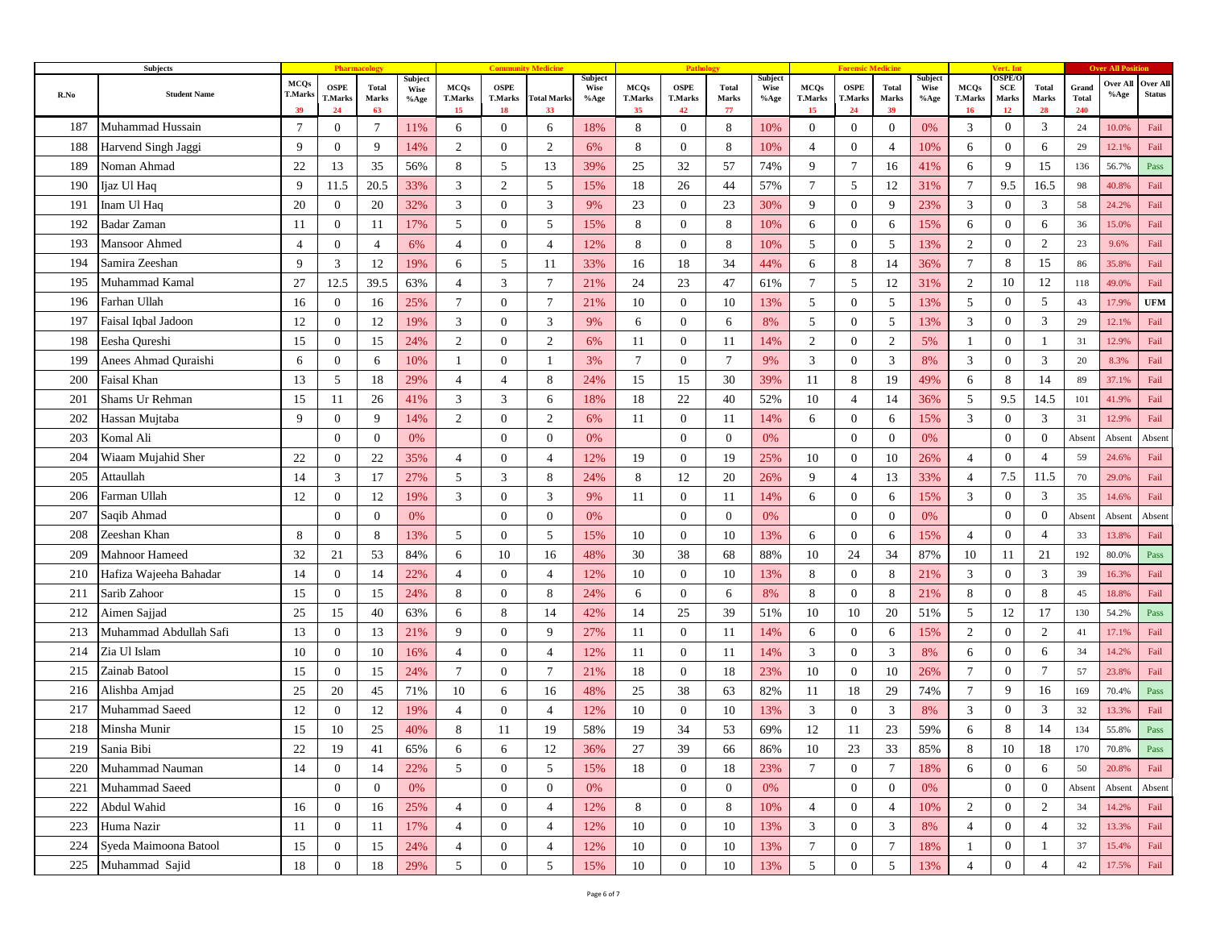|      | Subjects               |                                     |                              |                             |                         |                                     |                                     |                          |                         |                                     | Path                                |                             |                                |                                     |                                     |                      |                                |                                            | Vert. In                            |                      |                              |                  |                           |
|------|------------------------|-------------------------------------|------------------------------|-----------------------------|-------------------------|-------------------------------------|-------------------------------------|--------------------------|-------------------------|-------------------------------------|-------------------------------------|-----------------------------|--------------------------------|-------------------------------------|-------------------------------------|----------------------|--------------------------------|--------------------------------------------|-------------------------------------|----------------------|------------------------------|------------------|---------------------------|
| R.No | <b>Student Name</b>    | <b>MCQs</b><br><b>T.Marks</b><br>39 | <b>OSPE</b><br>T.Marks<br>24 | <b>Total</b><br>Marks<br>63 | Subject<br>Wise<br>%Age | <b>MCQs</b><br><b>T.Marks</b><br>15 | <b>OSPE</b><br><b>T.Marks</b><br>18 | <b>Total Marks</b><br>33 | Subject<br>Wise<br>%Age | <b>MCQs</b><br><b>T.Marks</b><br>35 | <b>OSPE</b><br><b>T.Marks</b><br>42 | <b>Total</b><br>Marks<br>77 | Subject<br><b>Wise</b><br>%Age | <b>MCQs</b><br><b>T.Marks</b><br>15 | <b>OSPE</b><br><b>T.Marks</b><br>24 | Total<br>Marks<br>39 | Subject<br><b>Wise</b><br>%Age | <b>MCQs</b><br><b>T.Marks</b><br><b>16</b> | <b>DSPE/C</b><br>SCE<br>Marks<br>12 | Total<br>Marks<br>28 | Grand<br><b>Total</b><br>240 | Over All<br>%Age | Over All<br><b>Status</b> |
| 187  | Muhammad Hussain       | 7                                   | $\overline{0}$               | 7                           | 11%                     | 6                                   | $\overline{0}$                      | 6                        | 18%                     | 8                                   | $\boldsymbol{0}$                    | 8                           | 10%                            | $\overline{0}$                      | $\boldsymbol{0}$                    | $\mathbf{0}$         | $0\%$                          | 3                                          | $\overline{0}$                      | 3                    | 24                           | 10.0%            | Fail                      |
| 188  | Harvend Singh Jaggi    | 9                                   | $\mathbf{0}$                 | 9                           | 14%                     | $\overline{2}$                      | $\overline{0}$                      | 2                        | 6%                      | 8                                   | $\boldsymbol{0}$                    | 8                           | 10%                            | $\overline{4}$                      | $\mathbf{0}$                        | $\overline{4}$       | 10%                            | 6                                          | $\mathbf{0}$                        | 6                    | 29                           | 12.1%            | Fail                      |
| 189  | Noman Ahmad            | 22                                  | 13                           | 35                          | 56%                     | 8                                   | 5                                   | 13                       | 39%                     | 25                                  | 32                                  | 57                          | 74%                            | 9                                   | $\tau$                              | 16                   | 41%                            | 6                                          | 9                                   | 15                   | 136                          | 56.7%            | Pass                      |
| 190  | Ijaz Ul Haq            | 9                                   | 11.5                         | 20.5                        | 33%                     | 3                                   | 2                                   | $5\overline{)}$          | 15%                     | 18                                  | 26                                  | 44                          | 57%                            | $\overline{7}$                      | 5                                   | 12                   | 31%                            | $\overline{7}$                             | 9.5                                 | 16.5                 | 98                           | 40.8%            | Fail                      |
| 191  | Inam Ul Haq            | 20                                  | $\boldsymbol{0}$             | 20                          | 32%                     | 3                                   | $\overline{0}$                      | 3                        | 9%                      | 23                                  | $\overline{0}$                      | 23                          | 30%                            | 9                                   | $\mathbf{0}$                        | 9                    | 23%                            | 3                                          | $\overline{0}$                      | 3                    | 58                           | 24.2%            | Fail                      |
| 192  | Badar Zaman            | 11                                  | $\mathbf{0}$                 | 11                          | 17%                     | 5                                   | $\overline{0}$                      | 5                        | 15%                     | 8                                   | $\mathbf{0}$                        | 8                           | 10%                            | 6                                   | $\mathbf{0}$                        | 6                    | 15%                            | 6                                          | $\mathbf{0}$                        | 6                    | 36                           | 15.0%            | Fail                      |
| 193  | Mansoor Ahmed          | $\overline{4}$                      | $\overline{0}$               | $\overline{4}$              | 6%                      | $\overline{4}$                      | $\mathbf{0}$                        | $\overline{4}$           | 12%                     | 8                                   | $\overline{0}$                      | 8                           | 10%                            | 5                                   | $\mathbf{0}$                        | 5                    | 13%                            | $\overline{c}$                             | $\overline{0}$                      | 2                    | 23                           | 9.6%             | Fail                      |
| 194  | Samira Zeeshan         | 9                                   | 3                            | 12                          | 19%                     | 6                                   | 5                                   | 11                       | 33%                     | 16                                  | 18                                  | 34                          | 44%                            | 6                                   | 8                                   | 14                   | 36%                            | $\tau$                                     | 8                                   | 15                   | 86                           | 35.8%            | Fail                      |
| 195  | Muhammad Kamal         | 27                                  | 12.5                         | 39.5                        | 63%                     | $\overline{4}$                      | 3                                   | $\tau$                   | 21%                     | 24                                  | 23                                  | 47                          | 61%                            | $\overline{7}$                      | 5                                   | 12                   | 31%                            | 2                                          | 10                                  | 12                   | 118                          | 49.0%            | Fail                      |
| 196  | Farhan Ullah           | 16                                  | $\mathbf{0}$                 | 16                          | 25%                     | $\tau$                              | $\mathbf{0}$                        | $\tau$                   | 21%                     | 10                                  | $\overline{0}$                      | 10                          | 13%                            | 5                                   | $\overline{0}$                      | 5                    | 13%                            | 5                                          | $\mathbf{0}$                        | 5                    | 43                           | 17.9%            | <b>UFM</b>                |
| 197  | Faisal Iqbal Jadoon    | 12                                  | $\overline{0}$               | 12                          | 19%                     | 3                                   | $\overline{0}$                      | 3                        | 9%                      | 6                                   | $\mathbf{0}$                        | 6                           | 8%                             | 5                                   | $\mathbf{0}$                        | 5                    | 13%                            | 3                                          | $\overline{0}$                      | 3                    | 29                           | 12.1%            | Fail                      |
| 198  | Eesha Qureshi          | 15                                  | $\mathbf{0}$                 | 15                          | 24%                     | $\overline{2}$                      | $\overline{0}$                      | 2                        | 6%                      | 11                                  | $\overline{0}$                      | 11                          | 14%                            | 2                                   | $\overline{0}$                      | 2                    | 5%                             | $\mathbf{1}$                               | $\mathbf{0}$                        | -1                   | 31                           | 12.9%            | Fail                      |
| 199  | Anees Ahmad Quraishi   | 6                                   | $\overline{0}$               | 6                           | 10%                     | 1                                   | $\overline{0}$                      | 1                        | 3%                      | 7                                   | $\overline{0}$                      | $\overline{7}$              | 9%                             | 3                                   | $\mathbf{0}$                        | 3                    | 8%                             | 3                                          | $\overline{0}$                      | 3                    | 20                           | 8.3%             | Fail                      |
| 200  | Faisal Khan            | 13                                  | 5                            | 18                          | 29%                     | $\overline{4}$                      | $\overline{4}$                      | 8                        | 24%                     | 15                                  | 15                                  | 30                          | 39%                            | 11                                  | 8                                   | 19                   | 49%                            | 6                                          | 8                                   | 14                   | 89                           | 37.1%            | Fail                      |
| 201  | Shams Ur Rehman        | 15                                  | 11                           | 26                          | 41%                     | 3                                   | 3                                   | 6                        | 18%                     | 18                                  | 22                                  | 40                          | 52%                            | 10                                  | $\overline{4}$                      | 14                   | 36%                            | 5                                          | 9.5                                 | 14.5                 | 101                          | 41.9%            | Fail                      |
| 202  | Hassan Mujtaba         | 9                                   | $\mathbf{0}$                 | 9                           | 14%                     | $\overline{2}$                      | $\mathbf{0}$                        | $\overline{2}$           | 6%                      | 11                                  | $\overline{0}$                      | -11                         | 14%                            | 6                                   | $\overline{0}$                      | 6                    | 15%                            | 3                                          | $\overline{0}$                      | 3                    | 31                           | 12.9%            | Fail                      |
| 203  | Komal Ali              |                                     | $\overline{0}$               | $\theta$                    | 0%                      |                                     | $\overline{0}$                      | $\overline{0}$           | 0%                      |                                     | $\overline{0}$                      | $\overline{0}$              | 0%                             |                                     | $\mathbf{0}$                        | $\overline{0}$       | 0%                             |                                            | $\mathbf{0}$                        | $\boldsymbol{0}$     | Absent                       | Absent           | Absent                    |
| 204  | Wiaam Mujahid Sher     | 22                                  | $\mathbf{0}$                 | 22                          | 35%                     | $\overline{4}$                      | $\overline{0}$                      | $\overline{4}$           | 12%                     | 19                                  | $\theta$                            | 19                          | 25%                            | 10                                  | $\mathbf{0}$                        | 10                   | 26%                            | $\overline{4}$                             | $\mathbf{0}$                        | $\overline{4}$       | 59                           | 24.6%            | Fail                      |
| 205  | Attaullah              | 14                                  | 3                            | 17                          | 27%                     | 5                                   | 3                                   | 8                        | 24%                     | 8                                   | 12                                  | 20                          | 26%                            | 9                                   | $\overline{4}$                      | 13                   | 33%                            | $\overline{4}$                             | 7.5                                 | 11.5                 | 70                           | 29.0%            | Fail                      |
| 206  | Farman Ullah           | 12                                  | $\overline{0}$               | 12                          | 19%                     | 3                                   | $\mathbf{0}$                        | 3                        | 9%                      | 11                                  | $\overline{0}$                      | -11                         | 14%                            | 6                                   | $\mathbf{0}$                        | 6                    | 15%                            | 3                                          | $\overline{0}$                      | 3                    | 35                           | 14.6%            | Fail                      |
| 207  | Saqib Ahmad            |                                     | $\overline{0}$               | $\mathbf{0}$                | 0%                      |                                     | $\overline{0}$                      | $\overline{0}$           | 0%                      |                                     | $\overline{0}$                      | $\overline{0}$              | 0%                             |                                     | $\boldsymbol{0}$                    | $\mathbf{0}$         | 0%                             |                                            | $\overline{0}$                      | $\boldsymbol{0}$     | Absent                       | Absent           | Absent                    |
| 208  | Zeeshan Khan           | 8                                   | $\mathbf{0}$                 | 8                           | 13%                     | 5                                   | $\overline{0}$                      | 5                        | 15%                     | 10                                  | $\mathbf{0}$                        | 10                          | 13%                            | 6                                   | $\mathbf{0}$                        | 6                    | 15%                            | $\overline{4}$                             | $\mathbf{0}$                        | $\overline{4}$       | 33                           | 13.8%            | Fail                      |
| 209  | Mahnoor Hameed         | 32                                  | 21                           | 53                          | 84%                     | 6                                   | 10                                  | 16                       | 48%                     | 30                                  | 38                                  | 68                          | 88%                            | 10                                  | 24                                  | 34                   | 87%                            | 10                                         | 11                                  | 21                   | 192                          | 80.0%            | Pass                      |
| 210  | Hafiza Wajeeha Bahadar | 14                                  | $\mathbf{0}$                 | 14                          | 22%                     | $\overline{4}$                      | $\mathbf{0}$                        | $\overline{4}$           | 12%                     | 10                                  | $\mathbf{0}$                        | 10                          | 13%                            | 8                                   | $\mathbf{0}$                        | 8                    | 21%                            | 3                                          | $\overline{0}$                      | 3                    | 39                           | 16.3%            | Fail                      |
| 211  | Sarib Zahoor           | 15                                  | $\overline{0}$               | 15                          | 24%                     | 8                                   | $\mathbf{0}$                        | 8                        | 24%                     | 6                                   | $\overline{0}$                      | 6                           | 8%                             | 8                                   | $\mathbf{0}$                        | 8                    | 21%                            | 8                                          | $\overline{0}$                      | 8                    | 45                           | 18.8%            | Fail                      |
| 212  | Aimen Sajjad           | 25                                  | 15                           | 40                          | 63%                     | 6                                   | 8                                   | 14                       | 42%                     | 14                                  | 25                                  | 39                          | 51%                            | 10                                  | 10                                  | 20                   | 51%                            | 5                                          | 12                                  | 17                   | 130                          | 54.2%            | Pass                      |
| 213  | Muhammad Abdullah Safi | 13                                  | $\mathbf{0}$                 | 13                          | 21%                     | 9                                   | $\overline{0}$                      | 9                        | 27%                     | 11                                  | $\mathbf{0}$                        | -11                         | 14%                            | 6                                   | $\overline{0}$                      | 6                    | 15%                            | $\overline{c}$                             | $\mathbf{0}$                        | 2                    | 41                           | 17.1%            | Fail                      |
| 214  | Zia Ul Islam           | 10                                  | $\overline{0}$               | 10                          | 16%                     | $\overline{4}$                      | $\overline{0}$                      | $\overline{4}$           | 12%                     | 11                                  | $\mathbf{0}$                        | -11                         | 14%                            | $\mathfrak{Z}$                      | $\overline{0}$                      | 3                    | 8%                             | 6                                          | $\overline{0}$                      | 6                    | 34                           | 14.2%            | Fail                      |
| 215  | Zainab Batool          | 15                                  | $\boldsymbol{0}$             | 15                          | 24%                     | $\tau$                              | $\mathbf{0}$                        | $\overline{7}$           | 21%                     | 18                                  | $\overline{0}$                      | 18                          | 23%                            | 10                                  | $\mathbf{0}$                        | 10                   | 26%                            | $\tau$                                     | $\mathbf{0}$                        | $\overline{7}$       | 57                           | 23.8%            | Fail                      |
| 216  | Alishba Amjad          | 25                                  | 20                           | 45                          | 71%                     | 10                                  | 6                                   | 16                       | 48%                     | 25                                  | 38                                  | 63                          | 82%                            | 11                                  | 18                                  | 29                   | 74%                            | $7\phantom{.0}$                            | 9                                   | 16                   | 169                          | 70.4%            | Pass                      |
| 217  | Muhammad Saeed         | 12                                  | $\boldsymbol{0}$             | 12                          | 19%                     | 4                                   | $\overline{0}$                      | $\overline{4}$           | 12%                     | 10                                  | $\boldsymbol{0}$                    | 10                          | 13%                            | 3                                   | $\mathbf{0}$                        | 3                    | 8%                             | 3                                          | $\mathbf{0}$                        | 3                    | 32                           | 13.3%            | Fail                      |
| 218  | Minsha Munir           | 15                                  | 10                           | 25                          | 40%                     | 8                                   | 11                                  | 19                       | 58%                     | 19                                  | 34                                  | 53                          | 69%                            | 12                                  | 11                                  | 23                   | 59%                            | 6                                          | 8                                   | 14                   | 134                          | 55.8%            | Pass                      |
| 219  | Sania Bibi             | 22                                  | 19                           | 41                          | 65%                     | 6                                   | 6                                   | 12                       | 36%                     | 27                                  | 39                                  | 66                          | 86%                            | 10                                  | 23                                  | 33                   | 85%                            | 8                                          | 10                                  | 18                   | 170                          | 70.8%            | Pass                      |
| 220  | Muhammad Nauman        | 14                                  | $\boldsymbol{0}$             | 14                          | 22%                     | $5\overline{)}$                     | $\overline{0}$                      | 5                        | 15%                     | 18                                  | $\overline{0}$                      | 18                          | 23%                            | $7\phantom{.0}$                     | $\overline{0}$                      | $7\phantom{.0}$      | 18%                            | 6                                          | $\mathbf{0}$                        | 6                    | 50                           | 20.8%            | Fail                      |
| 221  | Muhammad Saeed         |                                     | $\mathbf{0}$                 | $\mathbf{0}$                | 0%                      |                                     | $\overline{0}$                      | $\mathbf{0}$             | 0%                      |                                     | $\mathbf{0}$                        | $\mathbf{0}$                | $0\%$                          |                                     | $\overline{0}$                      | $\mathbf{0}$         | 0%                             |                                            | $\overline{0}$                      | $\mathbf{0}$         | Absent                       | Absent           | Absent                    |
| 222  | Abdul Wahid            | 16                                  | $\mathbf{0}$                 | 16                          | 25%                     | $\overline{4}$                      | $\mathbf{0}$                        | $\overline{4}$           | 12%                     | 8                                   | $\mathbf{0}$                        | 8                           | 10%                            | $\overline{4}$                      | $\overline{0}$                      | $\overline{4}$       | 10%                            | $\overline{2}$                             | $\overline{0}$                      | 2                    | 34                           | 14.2%            | Fail                      |
| 223  | Huma Nazir             | 11                                  | $\mathbf{0}$                 | 11                          | 17%                     | $\overline{4}$                      | $\overline{0}$                      | $\overline{4}$           | 12%                     | 10                                  | $\mathbf{0}$                        | 10                          | 13%                            | $\mathfrak{Z}$                      | $\overline{0}$                      | 3                    | 8%                             | $\overline{4}$                             | $\overline{0}$                      | $\overline{4}$       | 32                           | 13.3%            | Fail                      |
| 224  | Syeda Maimoona Batool  | 15                                  | $\overline{0}$               | 15                          | 24%                     | $\overline{4}$                      | $\overline{0}$                      | $\overline{4}$           | 12%                     | 10                                  | $\overline{0}$                      | 10                          | 13%                            | $7\phantom{.0}$                     | $\overline{0}$                      | $7\phantom{.0}$      | 18%                            | -1                                         | $\overline{0}$                      |                      | 37                           | 15.4%            | Fail                      |
| 225  | Muhammad Sajid         | 18                                  | $\mathbf{0}$                 | 18                          | 29%                     | $5\overline{)}$                     | $\overline{0}$                      | $5\overline{)}$          | 15%                     | 10                                  | $\overline{0}$                      | 10                          | 13%                            | 5                                   | $\mathbf{0}$                        | 5                    | 13%                            | $\overline{4}$                             | $\overline{0}$                      | $\overline{4}$       | 42                           | 17.5%            | Fail                      |